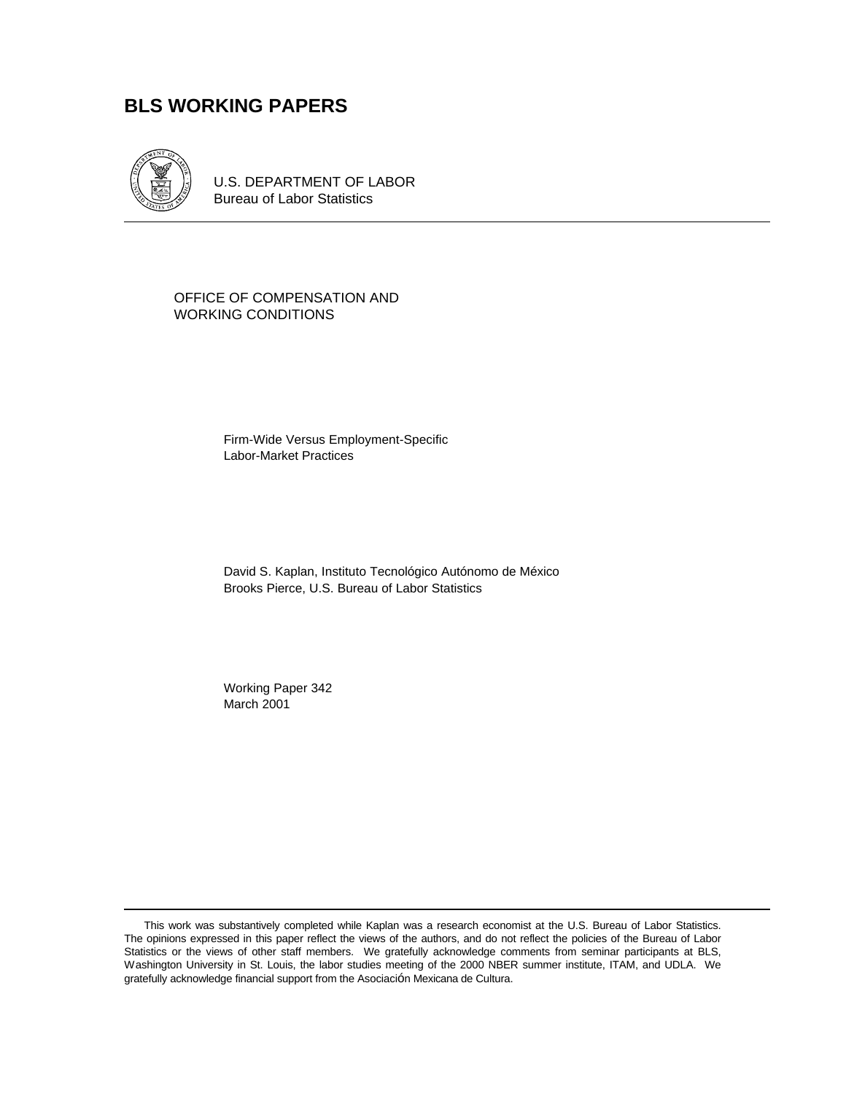## **BLS WORKING PAPERS**



U.S. DEPARTMENT OF LABOR Bureau of Labor Statistics

OFFICE OF COMPENSATION AND WORKING CONDITIONS

> Firm-Wide Versus Employment-Specific Labor-Market Practices

David S. Kaplan, Instituto Tecnológico Autónomo de México Brooks Pierce, U.S. Bureau of Labor Statistics

Working Paper 342 March 2001

This work was substantively completed while Kaplan was a research economist at the U.S. Bureau of Labor Statistics. The opinions expressed in this paper reflect the views of the authors, and do not reflect the policies of the Bureau of Labor Statistics or the views of other staff members. We gratefully acknowledge comments from seminar participants at BLS, Washington University in St. Louis, the labor studies meeting of the 2000 NBER summer institute, ITAM, and UDLA. We gratefully acknowledge financial support from the Asociación Mexicana de Cultura.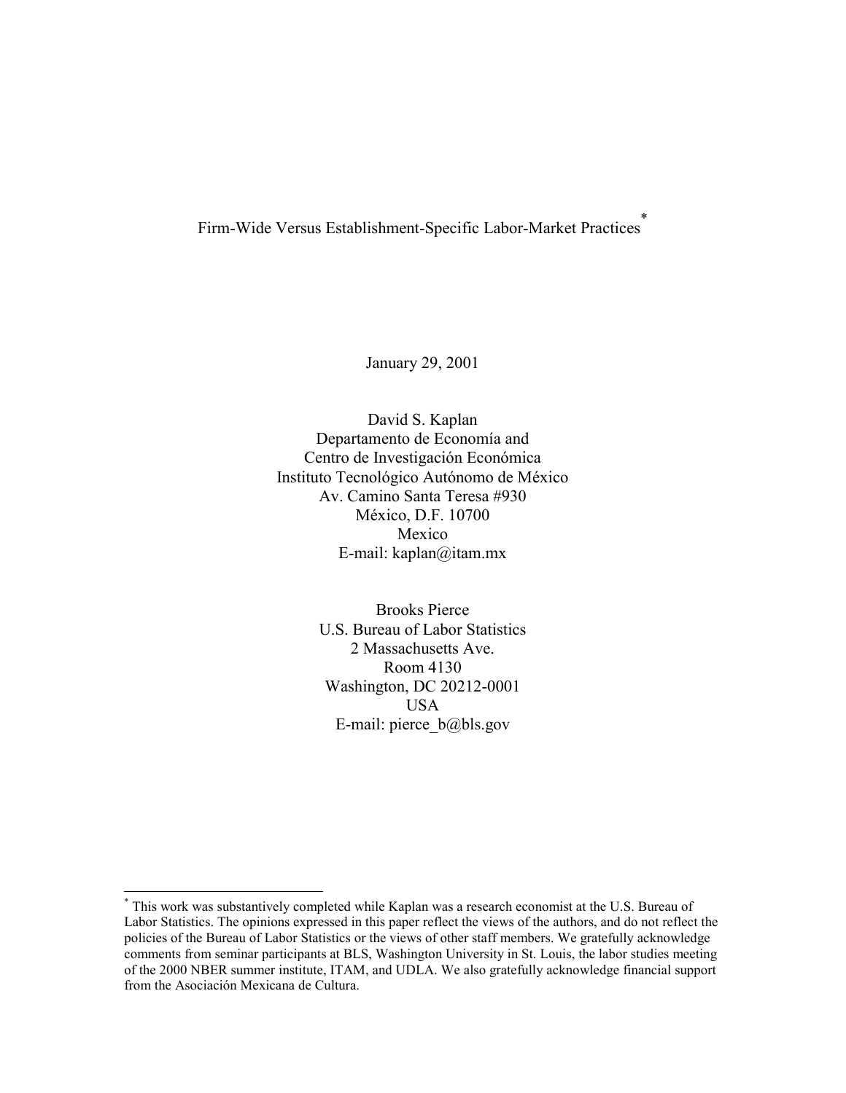Firm-Wide Versus Establishment-Specific Labor-Market Practices\*

January 29, 2001

David S. Kaplan Departamento de Economía and Centro de Investigación Económica Instituto Tecnológico Autónomo de México Av. Camino Santa Teresa #930 MÈxico, D.F. 10700 Mexico E-mail: kaplan@itam.mx

> Brooks Pierce U.S. Bureau of Labor Statistics 2 Massachusetts Ave. Room 4130 Washington, DC 20212-0001 USA E-mail: pierce  $b$ @bls.gov

<sup>\*</sup> This work was substantively completed while Kaplan was a research economist at the U.S. Bureau of Labor Statistics. The opinions expressed in this paper reflect the views of the authors, and do not reflect the policies of the Bureau of Labor Statistics or the views of other staff members. We gratefully acknowledge comments from seminar participants at BLS, Washington University in St. Louis, the labor studies meeting of the 2000 NBER summer institute, ITAM, and UDLA. We also gratefully acknowledge financial support from the Asociación Mexicana de Cultura.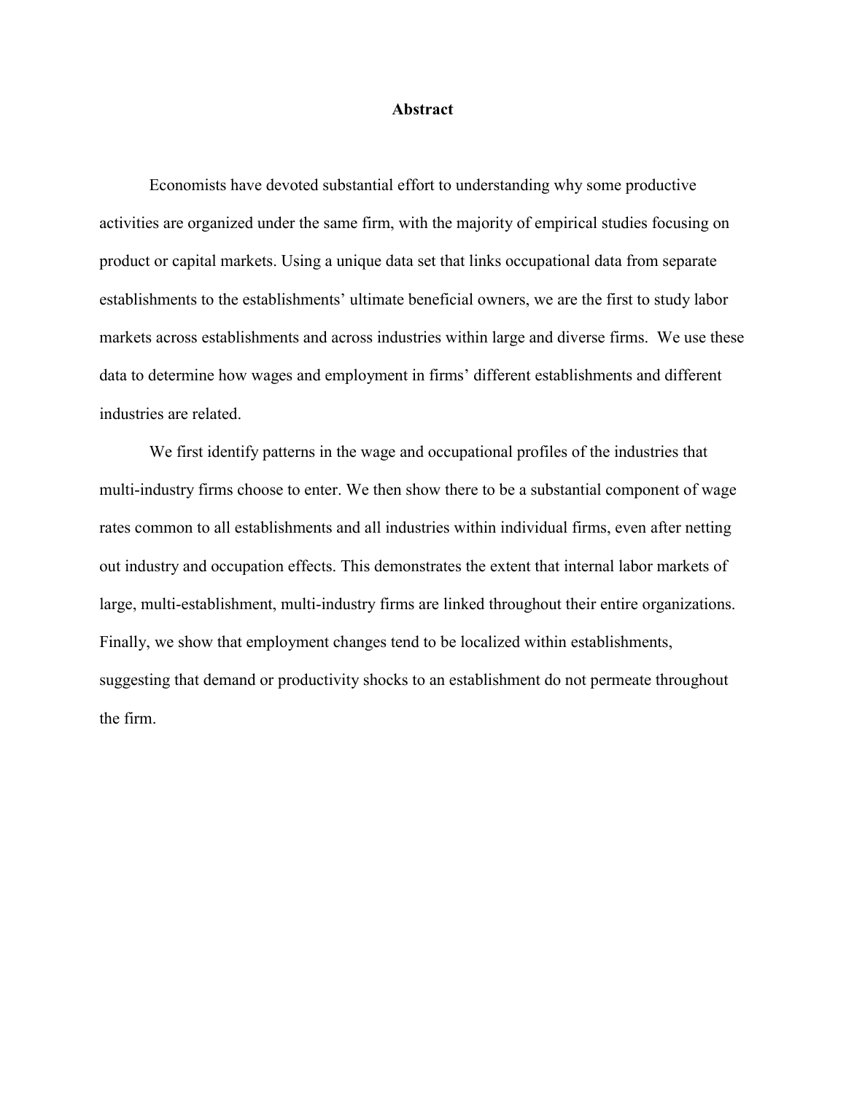#### **Abstract**

Economists have devoted substantial effort to understanding why some productive activities are organized under the same firm, with the majority of empirical studies focusing on product or capital markets. Using a unique data set that links occupational data from separate establishments to the establishments' ultimate beneficial owners, we are the first to study labor markets across establishments and across industries within large and diverse firms. We use these data to determine how wages and employment in firms' different establishments and different industries are related.

We first identify patterns in the wage and occupational profiles of the industries that multi-industry firms choose to enter. We then show there to be a substantial component of wage rates common to all establishments and all industries within individual firms, even after netting out industry and occupation effects. This demonstrates the extent that internal labor markets of large, multi-establishment, multi-industry firms are linked throughout their entire organizations. Finally, we show that employment changes tend to be localized within establishments, suggesting that demand or productivity shocks to an establishment do not permeate throughout the firm.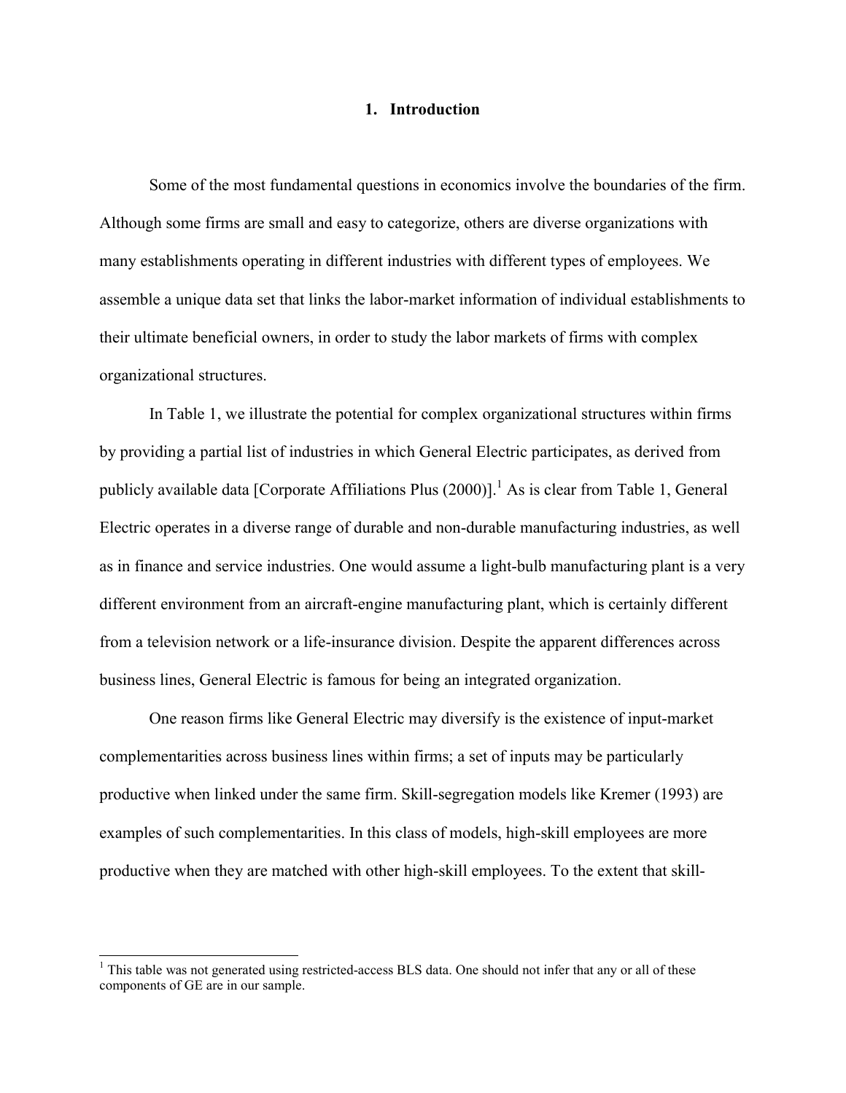#### **1. Introduction**

Some of the most fundamental questions in economics involve the boundaries of the firm. Although some firms are small and easy to categorize, others are diverse organizations with many establishments operating in different industries with different types of employees. We assemble a unique data set that links the labor-market information of individual establishments to their ultimate beneficial owners, in order to study the labor markets of firms with complex organizational structures.

In Table 1, we illustrate the potential for complex organizational structures within firms by providing a partial list of industries in which General Electric participates, as derived from publicly available data [Corporate Affiliations Plus  $(2000)$ ].<sup>1</sup> As is clear from Table 1, General Electric operates in a diverse range of durable and non-durable manufacturing industries, as well as in finance and service industries. One would assume a light-bulb manufacturing plant is a very different environment from an aircraft-engine manufacturing plant, which is certainly different from a television network or a life-insurance division. Despite the apparent differences across business lines, General Electric is famous for being an integrated organization.

One reason firms like General Electric may diversify is the existence of input-market complementarities across business lines within firms; a set of inputs may be particularly productive when linked under the same firm. Skill-segregation models like Kremer (1993) are examples of such complementarities. In this class of models, high-skill employees are more productive when they are matched with other high-skill employees. To the extent that skill-

 $1$  This table was not generated using restricted-access BLS data. One should not infer that any or all of these components of GE are in our sample.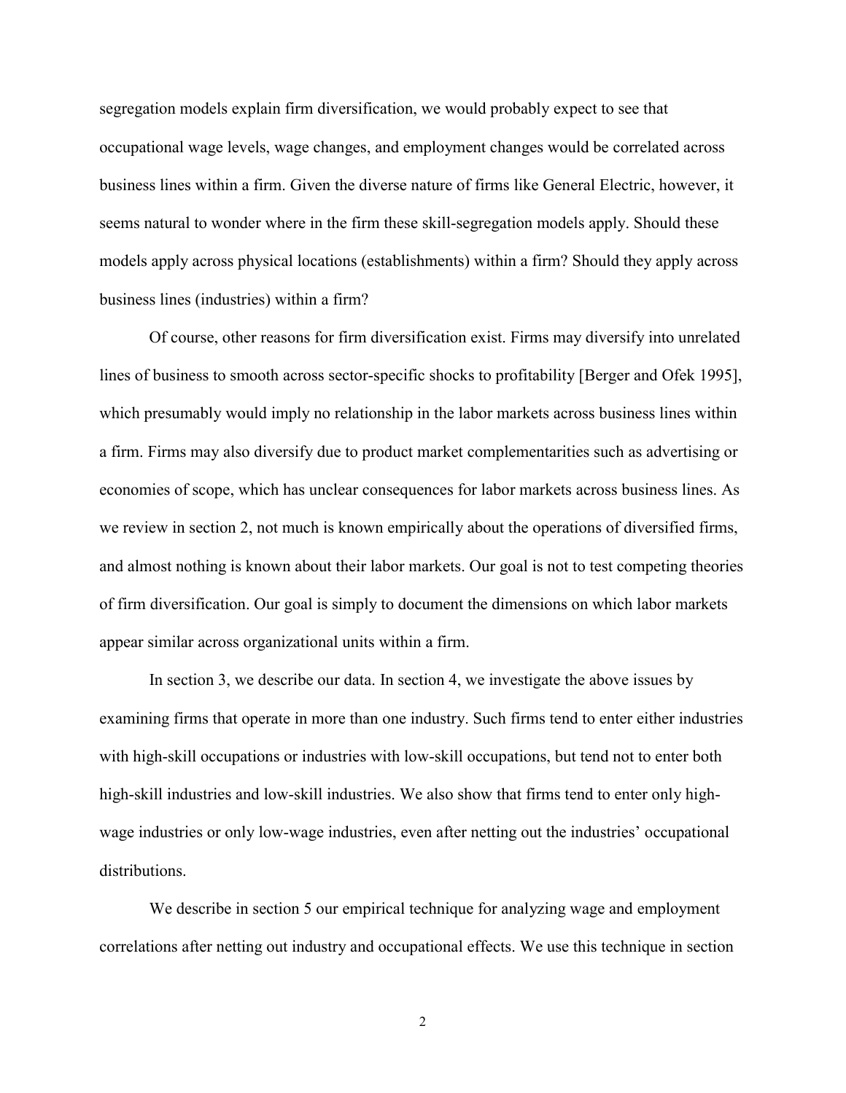segregation models explain firm diversification, we would probably expect to see that occupational wage levels, wage changes, and employment changes would be correlated across business lines within a firm. Given the diverse nature of firms like General Electric, however, it seems natural to wonder where in the firm these skill-segregation models apply. Should these models apply across physical locations (establishments) within a firm? Should they apply across business lines (industries) within a firm?

Of course, other reasons for firm diversification exist. Firms may diversify into unrelated lines of business to smooth across sector-specific shocks to profitability [Berger and Ofek 1995], which presumably would imply no relationship in the labor markets across business lines within a firm. Firms may also diversify due to product market complementarities such as advertising or economies of scope, which has unclear consequences for labor markets across business lines. As we review in section 2, not much is known empirically about the operations of diversified firms, and almost nothing is known about their labor markets. Our goal is not to test competing theories of firm diversification. Our goal is simply to document the dimensions on which labor markets appear similar across organizational units within a firm.

In section 3, we describe our data. In section 4, we investigate the above issues by examining firms that operate in more than one industry. Such firms tend to enter either industries with high-skill occupations or industries with low-skill occupations, but tend not to enter both high-skill industries and low-skill industries. We also show that firms tend to enter only highwage industries or only low-wage industries, even after netting out the industries' occupational distributions.

We describe in section 5 our empirical technique for analyzing wage and employment correlations after netting out industry and occupational effects. We use this technique in section

2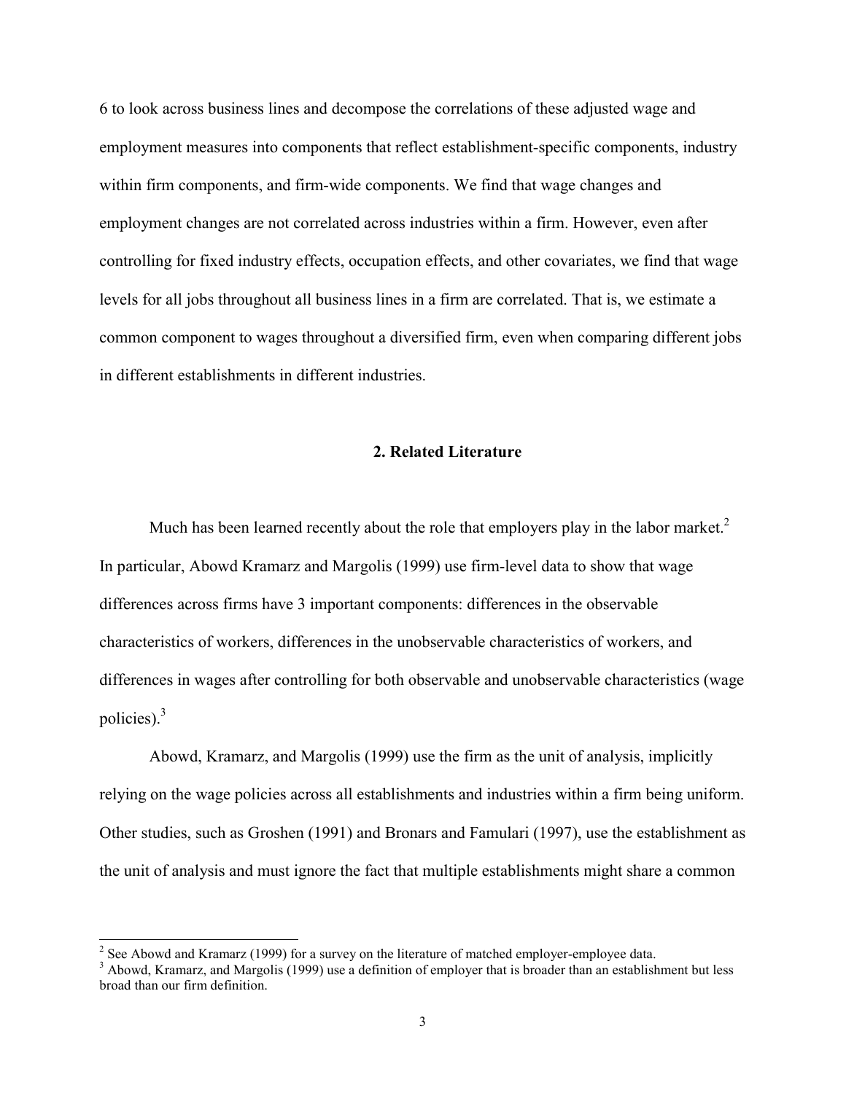6 to look across business lines and decompose the correlations of these adjusted wage and employment measures into components that reflect establishment-specific components, industry within firm components, and firm-wide components. We find that wage changes and employment changes are not correlated across industries within a firm. However, even after controlling for fixed industry effects, occupation effects, and other covariates, we find that wage levels for all jobs throughout all business lines in a firm are correlated. That is, we estimate a common component to wages throughout a diversified firm, even when comparing different jobs in different establishments in different industries.

#### **2. Related Literature**

Much has been learned recently about the role that employers play in the labor market.<sup>2</sup> In particular, Abowd Kramarz and Margolis (1999) use firm-level data to show that wage differences across firms have 3 important components: differences in the observable characteristics of workers, differences in the unobservable characteristics of workers, and differences in wages after controlling for both observable and unobservable characteristics (wage policies).3

Abowd, Kramarz, and Margolis (1999) use the firm as the unit of analysis, implicitly relying on the wage policies across all establishments and industries within a firm being uniform. Other studies, such as Groshen (1991) and Bronars and Famulari (1997), use the establishment as the unit of analysis and must ignore the fact that multiple establishments might share a common

<sup>&</sup>lt;sup>2</sup> See Abowd and Kramarz (1999) for a survey on the literature of matched employer-employee data.

 $3$  Abowd, Kramarz, and Margolis (1999) use a definition of employer that is broader than an establishment but less broad than our firm definition.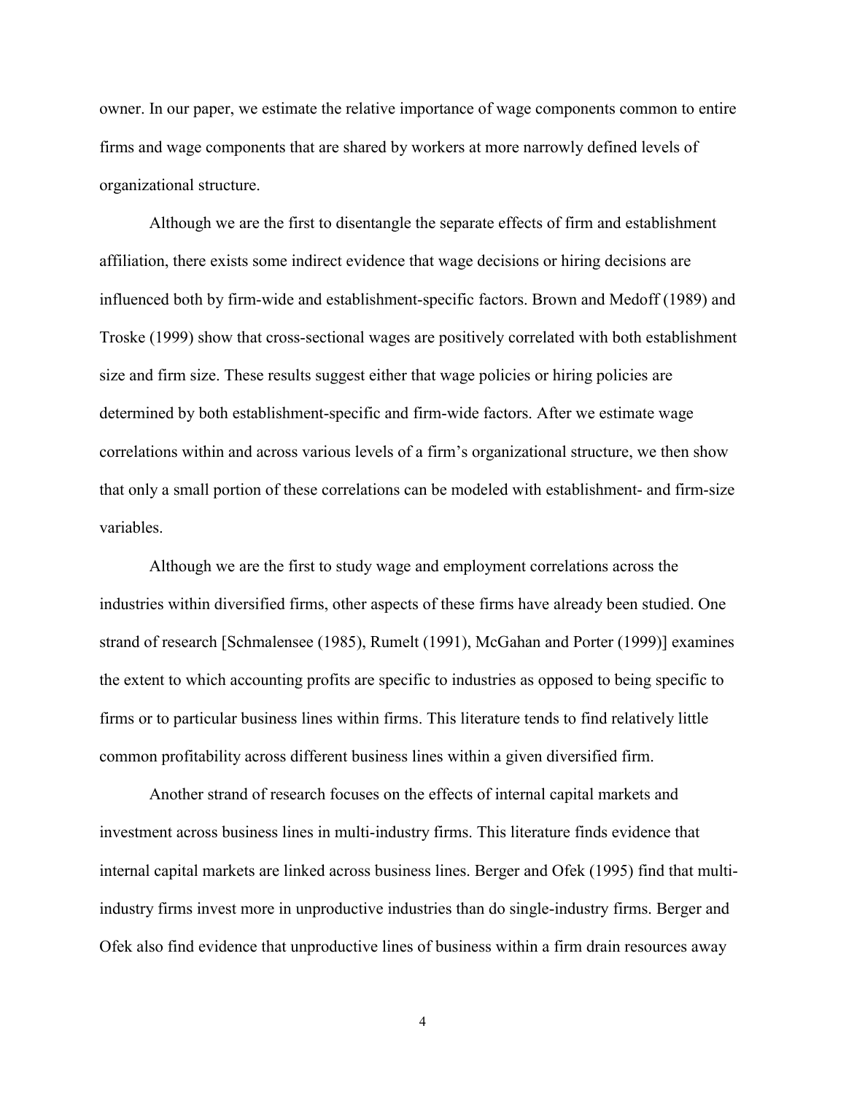owner. In our paper, we estimate the relative importance of wage components common to entire firms and wage components that are shared by workers at more narrowly defined levels of organizational structure.

Although we are the first to disentangle the separate effects of firm and establishment affiliation, there exists some indirect evidence that wage decisions or hiring decisions are influenced both by firm-wide and establishment-specific factors. Brown and Medoff (1989) and Troske (1999) show that cross-sectional wages are positively correlated with both establishment size and firm size. These results suggest either that wage policies or hiring policies are determined by both establishment-specific and firm-wide factors. After we estimate wage correlations within and across various levels of a firmís organizational structure, we then show that only a small portion of these correlations can be modeled with establishment- and firm-size variables.

Although we are the first to study wage and employment correlations across the industries within diversified firms, other aspects of these firms have already been studied. One strand of research [Schmalensee (1985), Rumelt (1991), McGahan and Porter (1999)] examines the extent to which accounting profits are specific to industries as opposed to being specific to firms or to particular business lines within firms. This literature tends to find relatively little common profitability across different business lines within a given diversified firm.

Another strand of research focuses on the effects of internal capital markets and investment across business lines in multi-industry firms. This literature finds evidence that internal capital markets are linked across business lines. Berger and Ofek (1995) find that multiindustry firms invest more in unproductive industries than do single-industry firms. Berger and Ofek also find evidence that unproductive lines of business within a firm drain resources away

4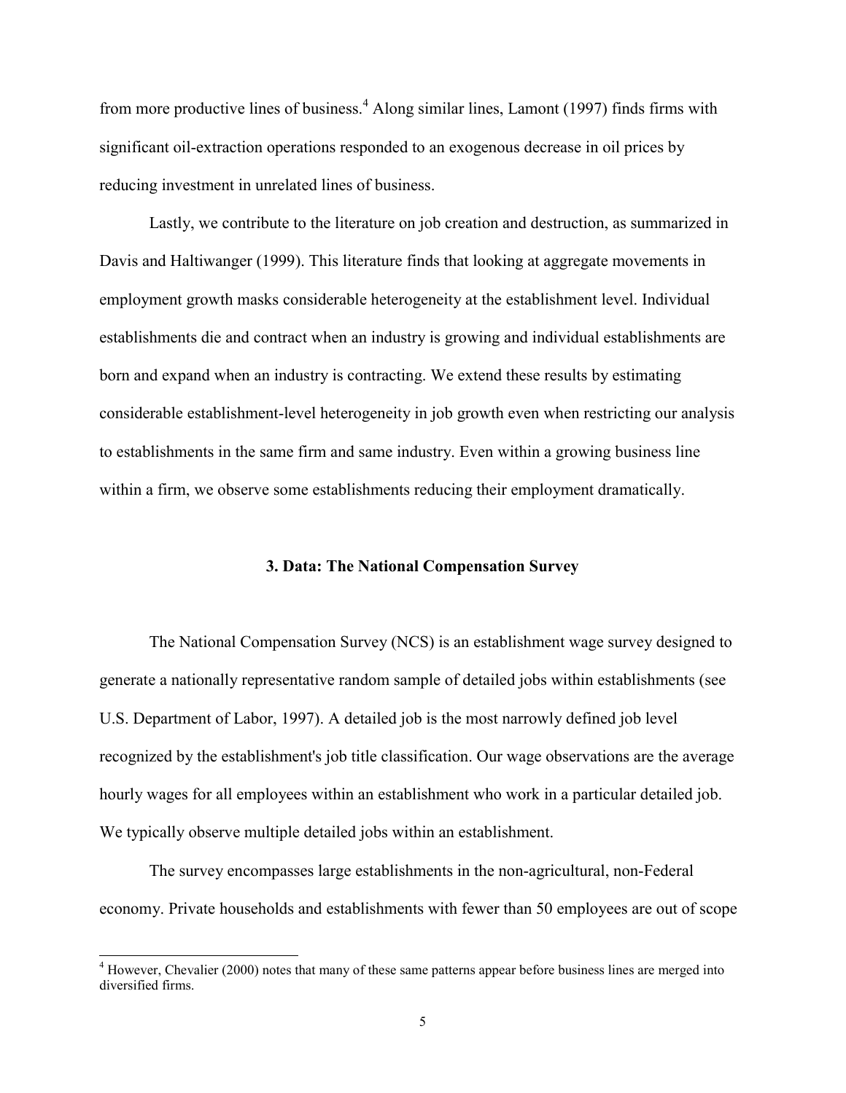from more productive lines of business.<sup>4</sup> Along similar lines, Lamont (1997) finds firms with significant oil-extraction operations responded to an exogenous decrease in oil prices by reducing investment in unrelated lines of business.

Lastly, we contribute to the literature on job creation and destruction, as summarized in Davis and Haltiwanger (1999). This literature finds that looking at aggregate movements in employment growth masks considerable heterogeneity at the establishment level. Individual establishments die and contract when an industry is growing and individual establishments are born and expand when an industry is contracting. We extend these results by estimating considerable establishment-level heterogeneity in job growth even when restricting our analysis to establishments in the same firm and same industry. Even within a growing business line within a firm, we observe some establishments reducing their employment dramatically.

#### **3. Data: The National Compensation Survey**

The National Compensation Survey (NCS) is an establishment wage survey designed to generate a nationally representative random sample of detailed jobs within establishments (see U.S. Department of Labor, 1997). A detailed job is the most narrowly defined job level recognized by the establishment's job title classification. Our wage observations are the average hourly wages for all employees within an establishment who work in a particular detailed job. We typically observe multiple detailed jobs within an establishment.

The survey encompasses large establishments in the non-agricultural, non-Federal economy. Private households and establishments with fewer than 50 employees are out of scope

 $4$  However, Chevalier (2000) notes that many of these same patterns appear before business lines are merged into diversified firms.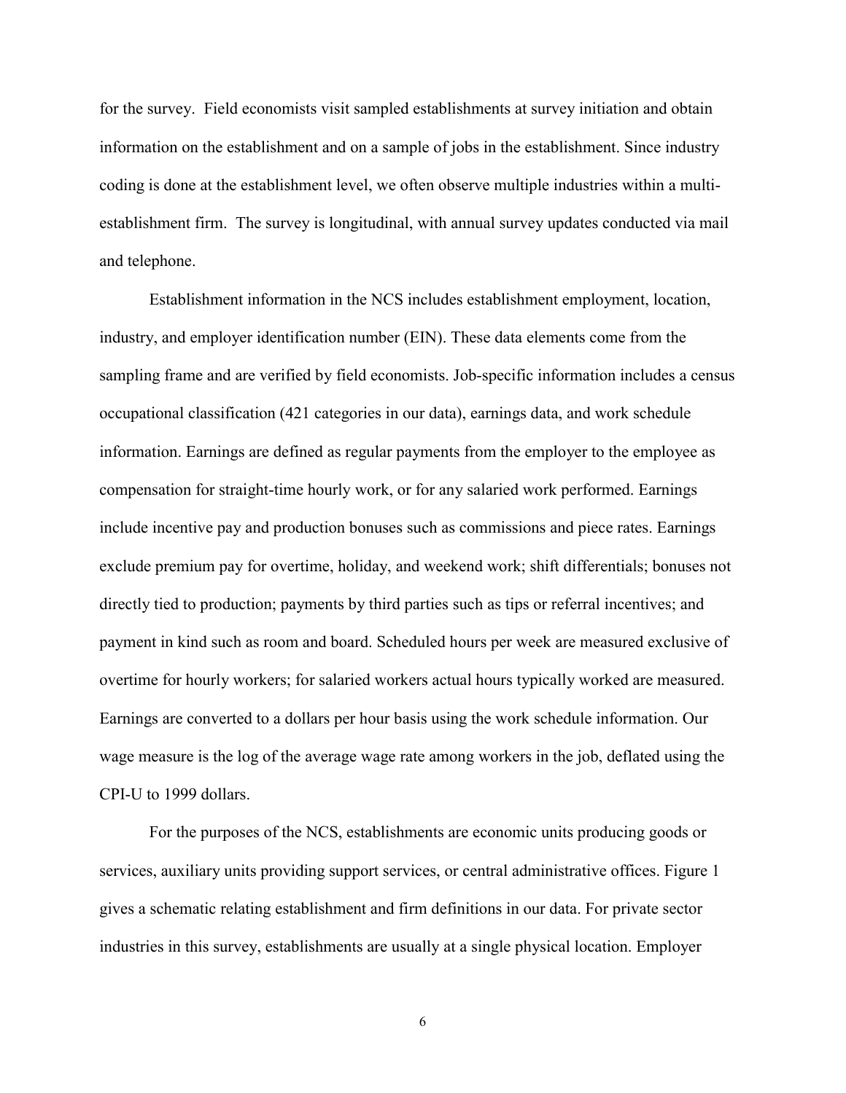for the survey. Field economists visit sampled establishments at survey initiation and obtain information on the establishment and on a sample of jobs in the establishment. Since industry coding is done at the establishment level, we often observe multiple industries within a multiestablishment firm. The survey is longitudinal, with annual survey updates conducted via mail and telephone.

Establishment information in the NCS includes establishment employment, location, industry, and employer identification number (EIN). These data elements come from the sampling frame and are verified by field economists. Job-specific information includes a census occupational classification (421 categories in our data), earnings data, and work schedule information. Earnings are defined as regular payments from the employer to the employee as compensation for straight-time hourly work, or for any salaried work performed. Earnings include incentive pay and production bonuses such as commissions and piece rates. Earnings exclude premium pay for overtime, holiday, and weekend work; shift differentials; bonuses not directly tied to production; payments by third parties such as tips or referral incentives; and payment in kind such as room and board. Scheduled hours per week are measured exclusive of overtime for hourly workers; for salaried workers actual hours typically worked are measured. Earnings are converted to a dollars per hour basis using the work schedule information. Our wage measure is the log of the average wage rate among workers in the job, deflated using the CPI-U to 1999 dollars.

For the purposes of the NCS, establishments are economic units producing goods or services, auxiliary units providing support services, or central administrative offices. Figure 1 gives a schematic relating establishment and firm definitions in our data. For private sector industries in this survey, establishments are usually at a single physical location. Employer

6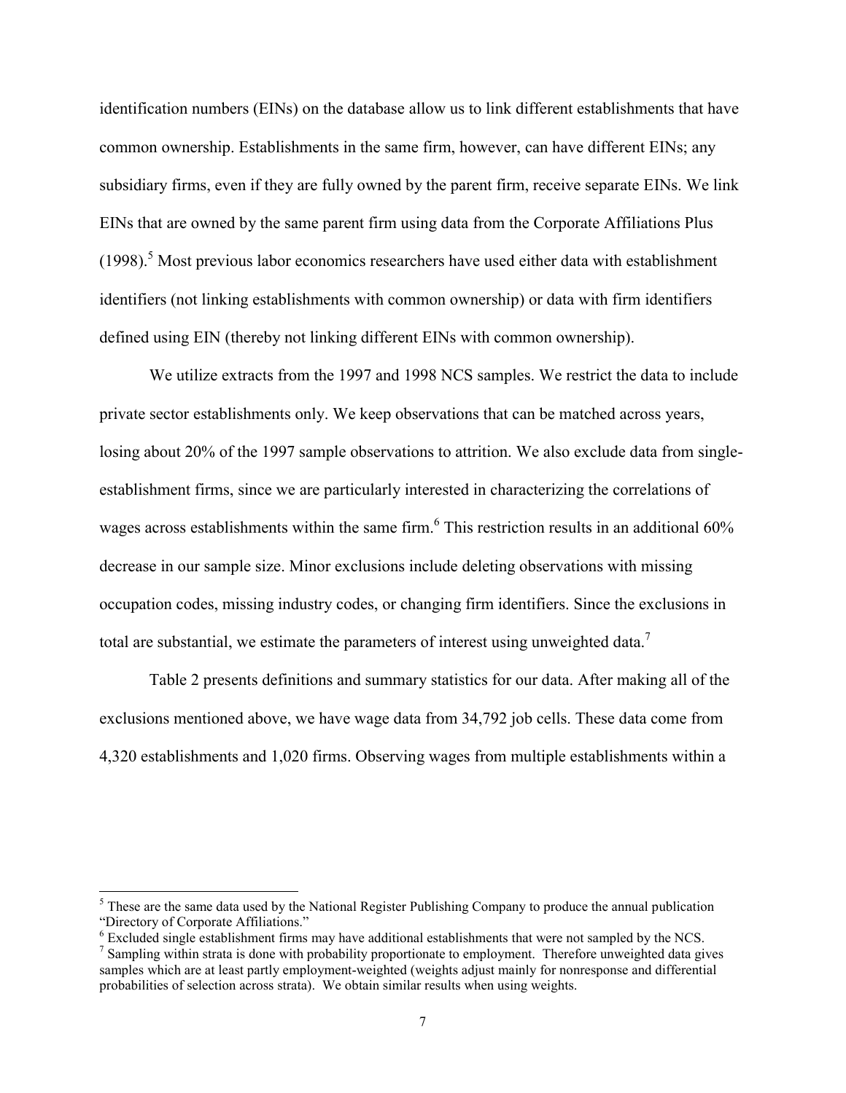identification numbers (EINs) on the database allow us to link different establishments that have common ownership. Establishments in the same firm, however, can have different EINs; any subsidiary firms, even if they are fully owned by the parent firm, receive separate EINs. We link EINs that are owned by the same parent firm using data from the Corporate Affiliations Plus  $(1998).$ <sup>5</sup> Most previous labor economics researchers have used either data with establishment identifiers (not linking establishments with common ownership) or data with firm identifiers defined using EIN (thereby not linking different EINs with common ownership).

We utilize extracts from the 1997 and 1998 NCS samples. We restrict the data to include private sector establishments only. We keep observations that can be matched across years, losing about 20% of the 1997 sample observations to attrition. We also exclude data from singleestablishment firms, since we are particularly interested in characterizing the correlations of wages across establishments within the same firm.<sup>6</sup> This restriction results in an additional 60% decrease in our sample size. Minor exclusions include deleting observations with missing occupation codes, missing industry codes, or changing firm identifiers. Since the exclusions in total are substantial, we estimate the parameters of interest using unweighted data.<sup>7</sup>

Table 2 presents definitions and summary statistics for our data. After making all of the exclusions mentioned above, we have wage data from 34,792 job cells. These data come from 4,320 establishments and 1,020 firms. Observing wages from multiple establishments within a

 $<sup>5</sup>$  These are the same data used by the National Register Publishing Company to produce the annual publication</sup> "Directory of Corporate Affiliations."

 $6$  Excluded single establishment firms may have additional establishments that were not sampled by the NCS.

<sup>&</sup>lt;sup>7</sup> Sampling within strata is done with probability proportionate to employment. Therefore unweighted data gives samples which are at least partly employment-weighted (weights adjust mainly for nonresponse and differential probabilities of selection across strata). We obtain similar results when using weights.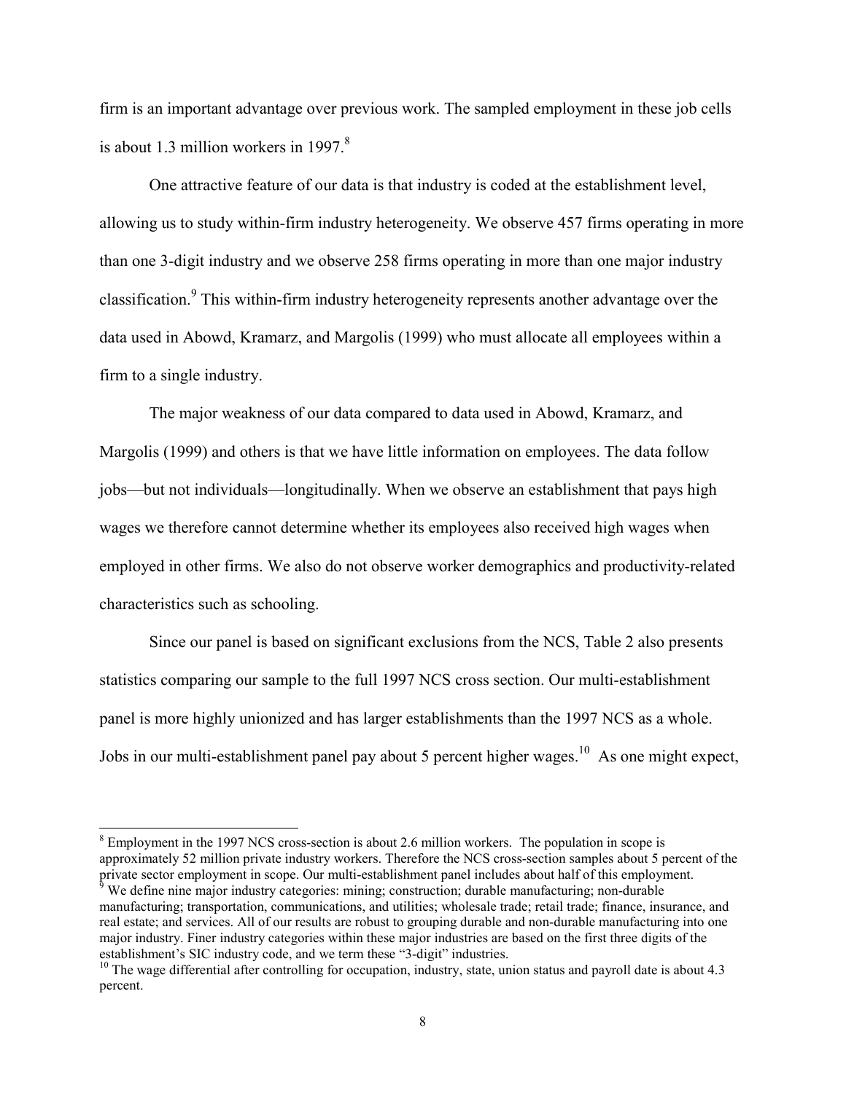firm is an important advantage over previous work. The sampled employment in these job cells is about 1.3 million workers in  $1997<sup>8</sup>$ 

One attractive feature of our data is that industry is coded at the establishment level, allowing us to study within-firm industry heterogeneity. We observe 457 firms operating in more than one 3-digit industry and we observe 258 firms operating in more than one major industry classification.<sup>9</sup> This within-firm industry heterogeneity represents another advantage over the data used in Abowd, Kramarz, and Margolis (1999) who must allocate all employees within a firm to a single industry.

The major weakness of our data compared to data used in Abowd, Kramarz, and Margolis (1999) and others is that we have little information on employees. The data follow jobs—but not individuals—longitudinally. When we observe an establishment that pays high wages we therefore cannot determine whether its employees also received high wages when employed in other firms. We also do not observe worker demographics and productivity-related characteristics such as schooling.

Since our panel is based on significant exclusions from the NCS, Table 2 also presents statistics comparing our sample to the full 1997 NCS cross section. Our multi-establishment panel is more highly unionized and has larger establishments than the 1997 NCS as a whole. Jobs in our multi-establishment panel pay about 5 percent higher wages.<sup>10</sup> As one might expect,

l

 $8 \text{ Employment}$  in the 1997 NCS cross-section is about 2.6 million workers. The population in scope is approximately 52 million private industry workers. Therefore the NCS cross-section samples about 5 percent of the private sector employment in scope. Our multi-establishment panel includes about half of this employment.<br><sup>9</sup> We define nine major industry categories: mining; construction; durable manufacturing; non-durable

manufacturing; transportation, communications, and utilities; wholesale trade; retail trade; finance, insurance, and real estate; and services. All of our results are robust to grouping durable and non-durable manufacturing into one major industry. Finer industry categories within these major industries are based on the first three digits of the establishment's SIC industry code, and we term these "3-digit" industries.

 $10$  The wage differential after controlling for occupation, industry, state, union status and payroll date is about 4.3 percent.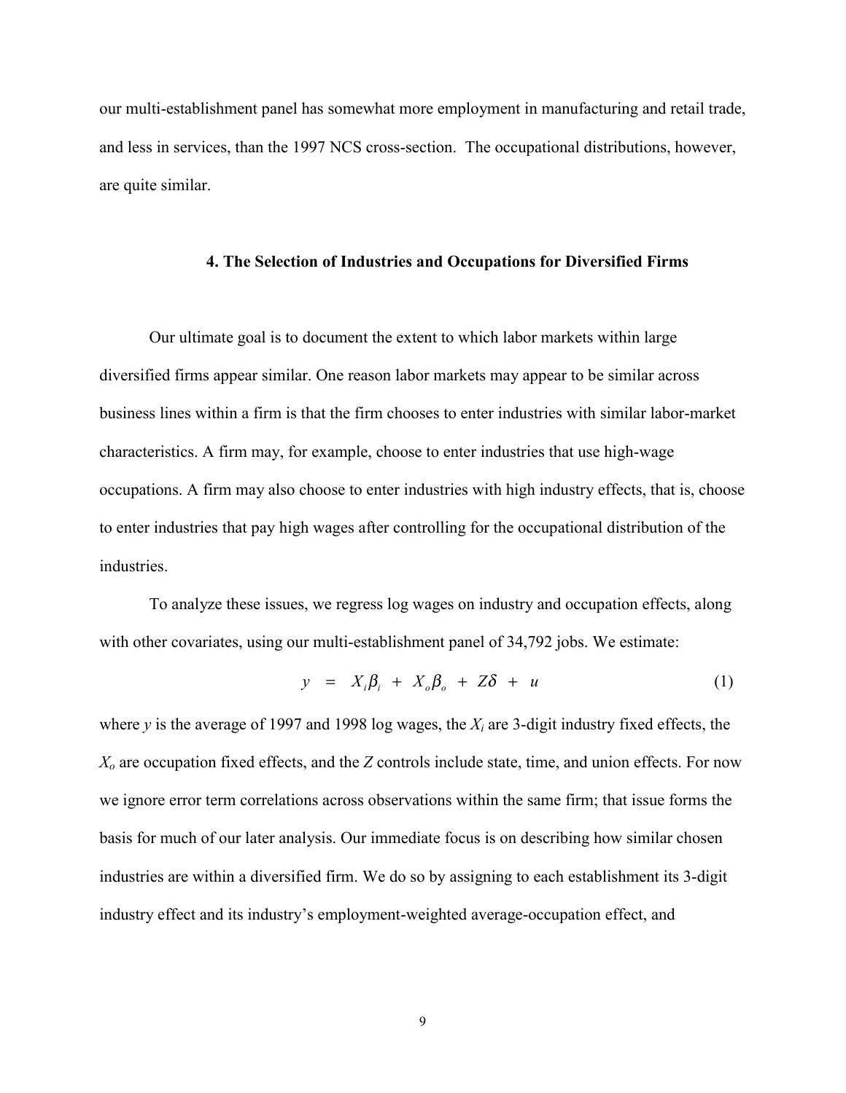our multi-establishment panel has somewhat more employment in manufacturing and retail trade, and less in services, than the 1997 NCS cross-section. The occupational distributions, however, are quite similar.

#### **4. The Selection of Industries and Occupations for Diversified Firms**

Our ultimate goal is to document the extent to which labor markets within large diversified firms appear similar. One reason labor markets may appear to be similar across business lines within a firm is that the firm chooses to enter industries with similar labor-market characteristics. A firm may, for example, choose to enter industries that use high-wage occupations. A firm may also choose to enter industries with high industry effects, that is, choose to enter industries that pay high wages after controlling for the occupational distribution of the industries.

To analyze these issues, we regress log wages on industry and occupation effects, along with other covariates, using our multi-establishment panel of 34,792 jobs. We estimate:

$$
y = X_i \beta_i + X_o \beta_o + Z \delta + u \tag{1}
$$

where *y* is the average of 1997 and 1998 log wages, the *Xi* are 3-digit industry fixed effects, the *Xo* are occupation fixed effects, and the *Z* controls include state, time, and union effects. For now we ignore error term correlations across observations within the same firm; that issue forms the basis for much of our later analysis. Our immediate focus is on describing how similar chosen industries are within a diversified firm. We do so by assigning to each establishment its 3-digit industry effect and its industry's employment-weighted average-occupation effect, and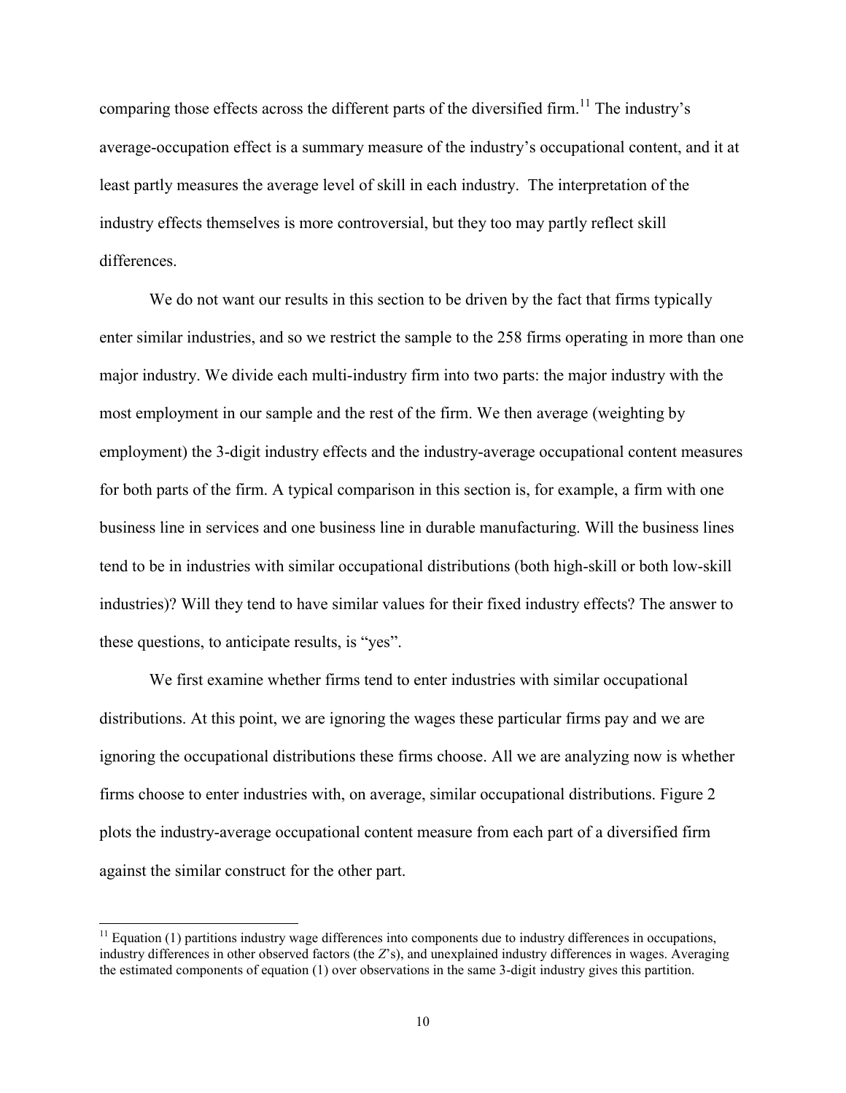comparing those effects across the different parts of the diversified firm.<sup>11</sup> The industry's average-occupation effect is a summary measure of the industry's occupational content, and it at least partly measures the average level of skill in each industry. The interpretation of the industry effects themselves is more controversial, but they too may partly reflect skill differences.

We do not want our results in this section to be driven by the fact that firms typically enter similar industries, and so we restrict the sample to the 258 firms operating in more than one major industry. We divide each multi-industry firm into two parts: the major industry with the most employment in our sample and the rest of the firm. We then average (weighting by employment) the 3-digit industry effects and the industry-average occupational content measures for both parts of the firm. A typical comparison in this section is, for example, a firm with one business line in services and one business line in durable manufacturing. Will the business lines tend to be in industries with similar occupational distributions (both high-skill or both low-skill industries)? Will they tend to have similar values for their fixed industry effects? The answer to these questions, to anticipate results, is "yes".

We first examine whether firms tend to enter industries with similar occupational distributions. At this point, we are ignoring the wages these particular firms pay and we are ignoring the occupational distributions these firms choose. All we are analyzing now is whether firms choose to enter industries with, on average, similar occupational distributions. Figure 2 plots the industry-average occupational content measure from each part of a diversified firm against the similar construct for the other part.

l

 $11$  Equation (1) partitions industry wage differences into components due to industry differences in occupations, industry differences in other observed factors (the *Z*ís), and unexplained industry differences in wages. Averaging the estimated components of equation (1) over observations in the same 3-digit industry gives this partition.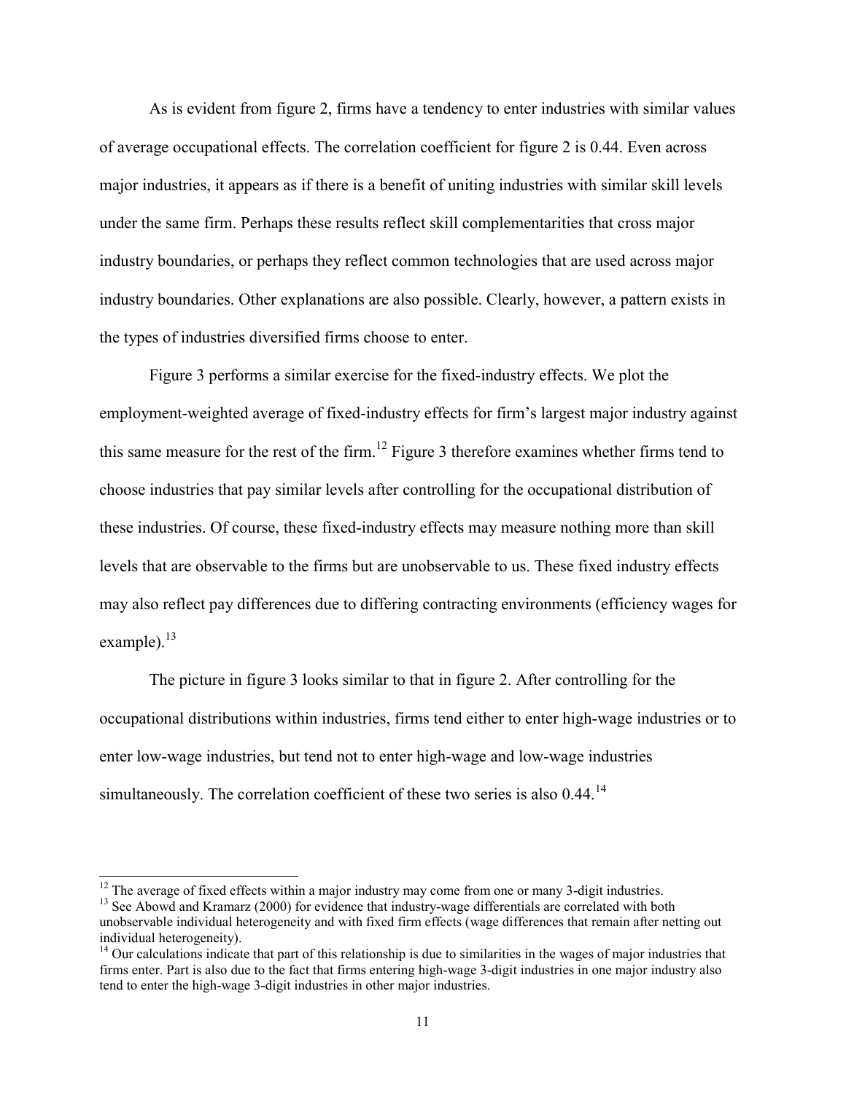As is evident from figure 2, firms have a tendency to enter industries with similar values of average occupational effects. The correlation coefficient for figure 2 is 0.44. Even across major industries, it appears as if there is a benefit of uniting industries with similar skill levels under the same firm. Perhaps these results reflect skill complementarities that cross major industry boundaries, or perhaps they reflect common technologies that are used across major industry boundaries. Other explanations are also possible. Clearly, however, a pattern exists in the types of industries diversified firms choose to enter.

Figure 3 performs a similar exercise for the fixed-industry effects. We plot the employment-weighted average of fixed-industry effects for firm's largest major industry against this same measure for the rest of the firm.<sup>12</sup> Figure 3 therefore examines whether firms tend to choose industries that pay similar levels after controlling for the occupational distribution of these industries. Of course, these fixed-industry effects may measure nothing more than skill levels that are observable to the firms but are unobservable to us. These fixed industry effects may also reflect pay differences due to differing contracting environments (efficiency wages for example). $^{13}$ 

The picture in figure 3 looks similar to that in figure 2. After controlling for the occupational distributions within industries, firms tend either to enter high-wage industries or to enter low-wage industries, but tend not to enter high-wage and low-wage industries simultaneously. The correlation coefficient of these two series is also 0.44.<sup>14</sup>

 $12$  The average of fixed effects within a major industry may come from one or many 3-digit industries.

<sup>&</sup>lt;sup>13</sup> See Abowd and Kramarz (2000) for evidence that industry-wage differentials are correlated with both unobservable individual heterogeneity and with fixed firm effects (wage differences that remain after netting out individual heterogeneity).

 $<sup>14</sup>$  Our calculations indicate that part of this relationship is due to similarities in the wages of major industries that</sup> firms enter. Part is also due to the fact that firms entering high-wage 3-digit industries in one major industry also tend to enter the high-wage 3-digit industries in other major industries.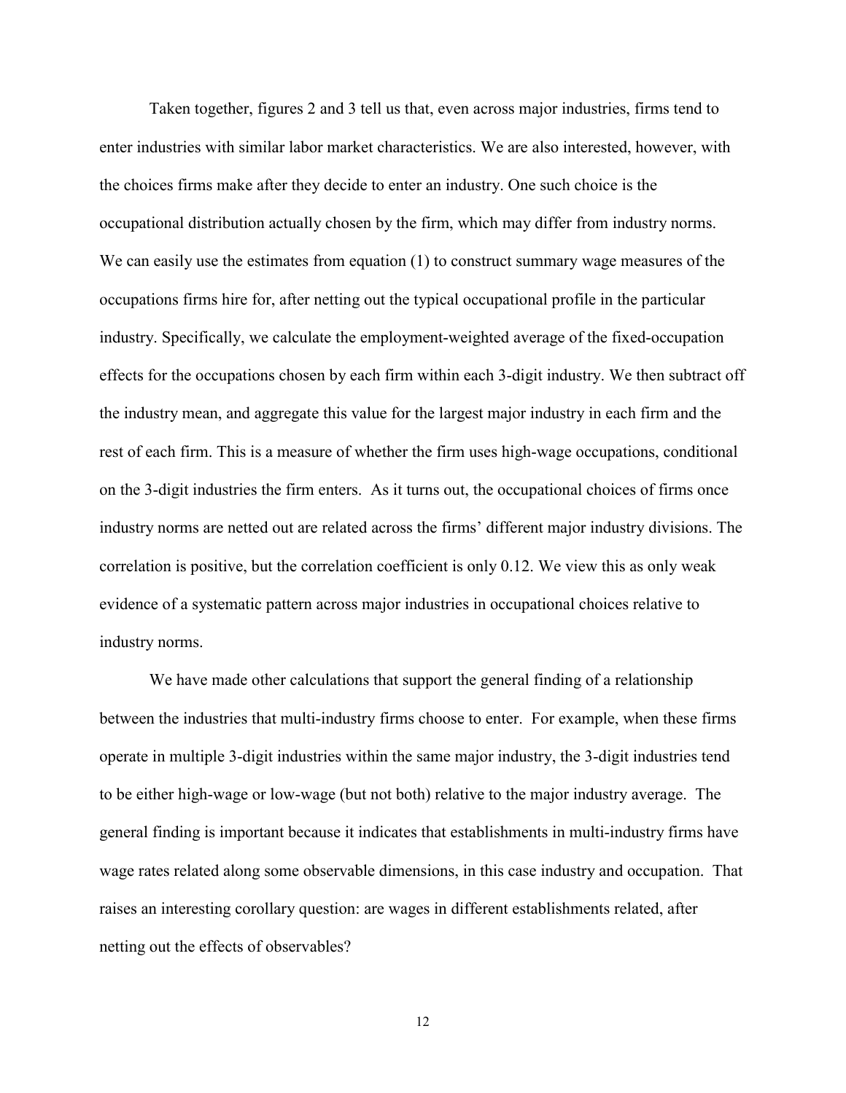Taken together, figures 2 and 3 tell us that, even across major industries, firms tend to enter industries with similar labor market characteristics. We are also interested, however, with the choices firms make after they decide to enter an industry. One such choice is the occupational distribution actually chosen by the firm, which may differ from industry norms. We can easily use the estimates from equation (1) to construct summary wage measures of the occupations firms hire for, after netting out the typical occupational profile in the particular industry. Specifically, we calculate the employment-weighted average of the fixed-occupation effects for the occupations chosen by each firm within each 3-digit industry. We then subtract off the industry mean, and aggregate this value for the largest major industry in each firm and the rest of each firm. This is a measure of whether the firm uses high-wage occupations, conditional on the 3-digit industries the firm enters. As it turns out, the occupational choices of firms once industry norms are netted out are related across the firms' different major industry divisions. The correlation is positive, but the correlation coefficient is only 0.12. We view this as only weak evidence of a systematic pattern across major industries in occupational choices relative to industry norms.

We have made other calculations that support the general finding of a relationship between the industries that multi-industry firms choose to enter. For example, when these firms operate in multiple 3-digit industries within the same major industry, the 3-digit industries tend to be either high-wage or low-wage (but not both) relative to the major industry average. The general finding is important because it indicates that establishments in multi-industry firms have wage rates related along some observable dimensions, in this case industry and occupation. That raises an interesting corollary question: are wages in different establishments related, after netting out the effects of observables?

12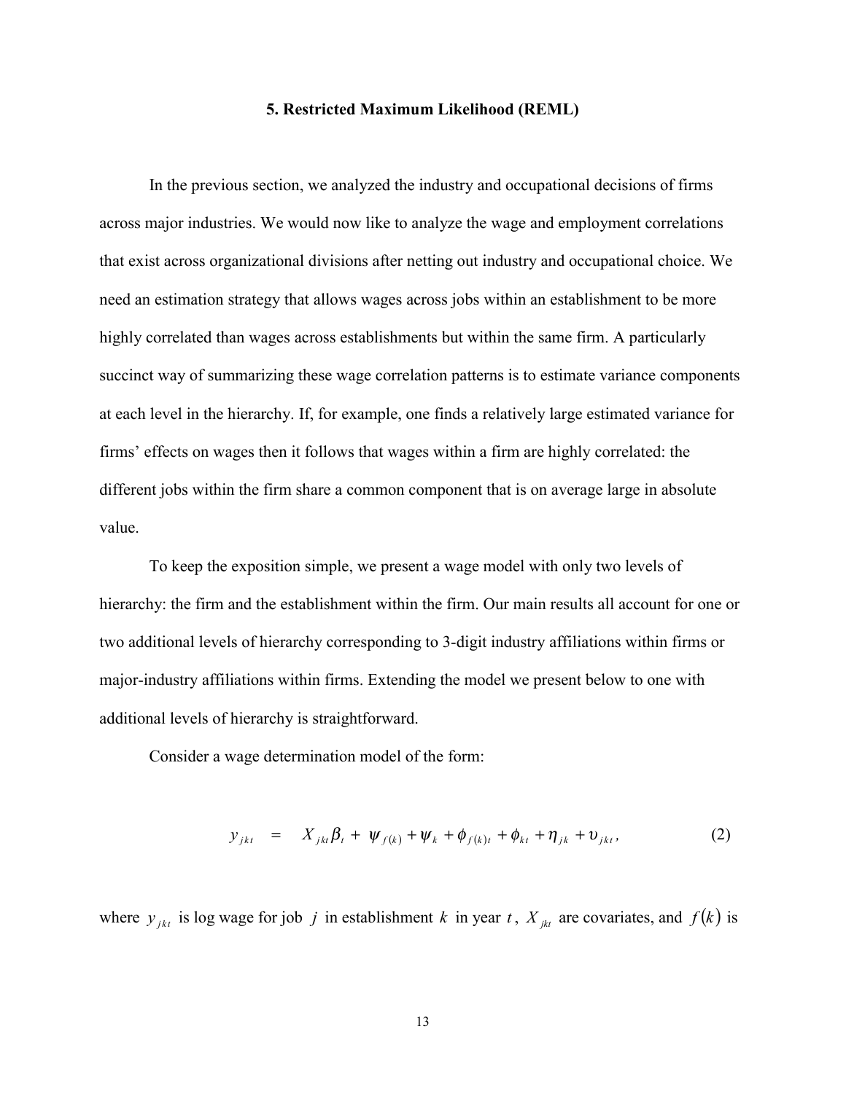#### **5. Restricted Maximum Likelihood (REML)**

In the previous section, we analyzed the industry and occupational decisions of firms across major industries. We would now like to analyze the wage and employment correlations that exist across organizational divisions after netting out industry and occupational choice. We need an estimation strategy that allows wages across jobs within an establishment to be more highly correlated than wages across establishments but within the same firm. A particularly succinct way of summarizing these wage correlation patterns is to estimate variance components at each level in the hierarchy. If, for example, one finds a relatively large estimated variance for firms' effects on wages then it follows that wages within a firm are highly correlated: the different jobs within the firm share a common component that is on average large in absolute value.

To keep the exposition simple, we present a wage model with only two levels of hierarchy: the firm and the establishment within the firm. Our main results all account for one or two additional levels of hierarchy corresponding to 3-digit industry affiliations within firms or major-industry affiliations within firms. Extending the model we present below to one with additional levels of hierarchy is straightforward.

Consider a wage determination model of the form:

$$
y_{jkt} = X_{jkt}\beta_t + \psi_{f(k)} + \psi_k + \phi_{f(k)t} + \phi_{kt} + \eta_{jk} + \upsilon_{jkt}, \qquad (2)
$$

where  $y_{jkt}$  is log wage for job *j* in establishment *k* in year *t*,  $X_{jkt}$  are covariates, and  $f(k)$  is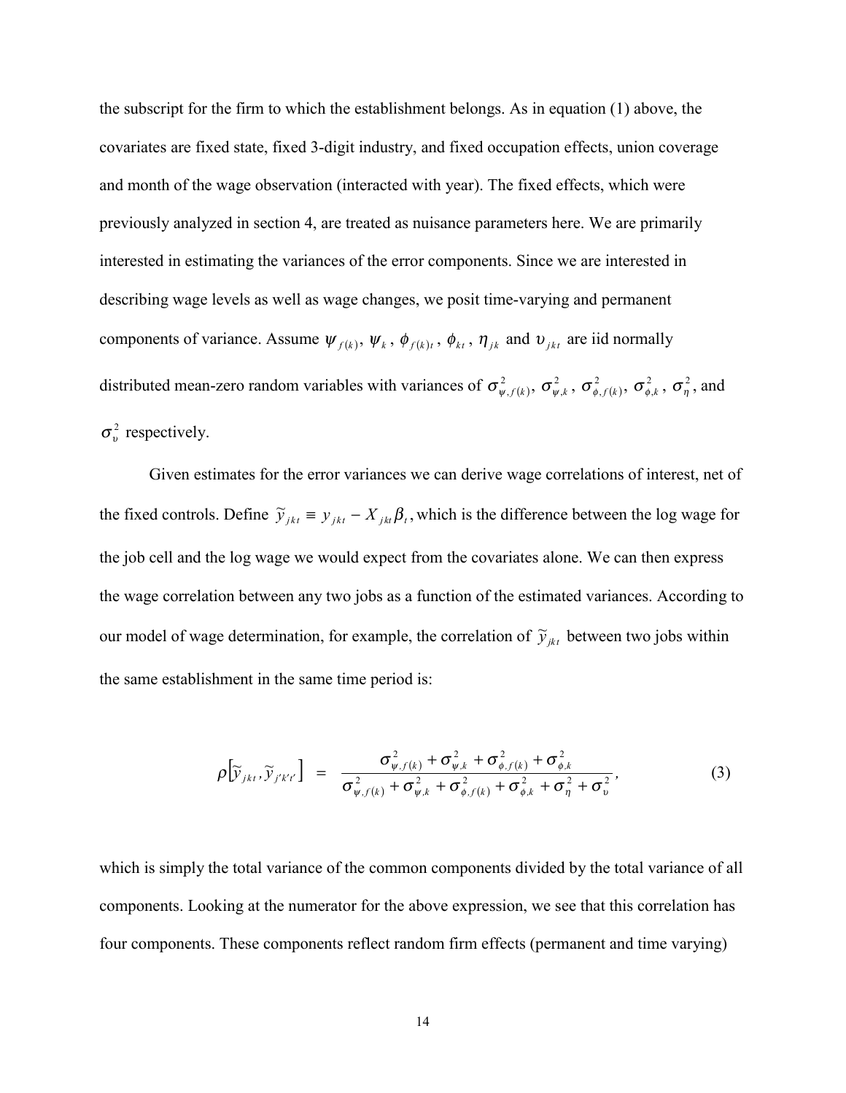the subscript for the firm to which the establishment belongs. As in equation (1) above, the covariates are fixed state, fixed 3-digit industry, and fixed occupation effects, union coverage and month of the wage observation (interacted with year). The fixed effects, which were previously analyzed in section 4, are treated as nuisance parameters here. We are primarily interested in estimating the variances of the error components. Since we are interested in describing wage levels as well as wage changes, we posit time-varying and permanent components of variance. Assume  $\psi_{f(k)}, \psi_k, \phi_{f(k)t}, \phi_{kt}, \eta_{jk}$  and  $v_{jkt}$  are iid normally distributed mean-zero random variables with variances of  $\sigma_{\psi,f(k)}^2$ ,  $\sigma_{\psi,k}^2$ ,  $\sigma_{\phi,f(k)}^2$ ,  $\sigma_{\phi,k}^2$ ,  $\sigma_{\eta}^2$ , and  $\sigma_v^2$  respectively.

Given estimates for the error variances we can derive wage correlations of interest, net of the fixed controls. Define  $\tilde{y}_{jkt} = y_{jkt} - X_{jkt}\beta_t$ , which is the difference between the log wage for the job cell and the log wage we would expect from the covariates alone. We can then express the wage correlation between any two jobs as a function of the estimated variances. According to our model of wage determination, for example, the correlation of  $\tilde{y}_{jk}$  between two jobs within the same establishment in the same time period is:

$$
\rho \left[ \widetilde{y}_{jkt}, \widetilde{y}_{j'k't'} \right] = \frac{\sigma_{\psi,f(k)}^2 + \sigma_{\psi,k}^2 + \sigma_{\phi,f(k)}^2 + \sigma_{\phi,k}^2}{\sigma_{\psi,f(k)}^2 + \sigma_{\psi,k}^2 + \sigma_{\phi,f(k)}^2 + \sigma_{\phi,k}^2 + \sigma_{\eta}^2 + \sigma_{v}^2},
$$
\n(3)

which is simply the total variance of the common components divided by the total variance of all components. Looking at the numerator for the above expression, we see that this correlation has four components. These components reflect random firm effects (permanent and time varying)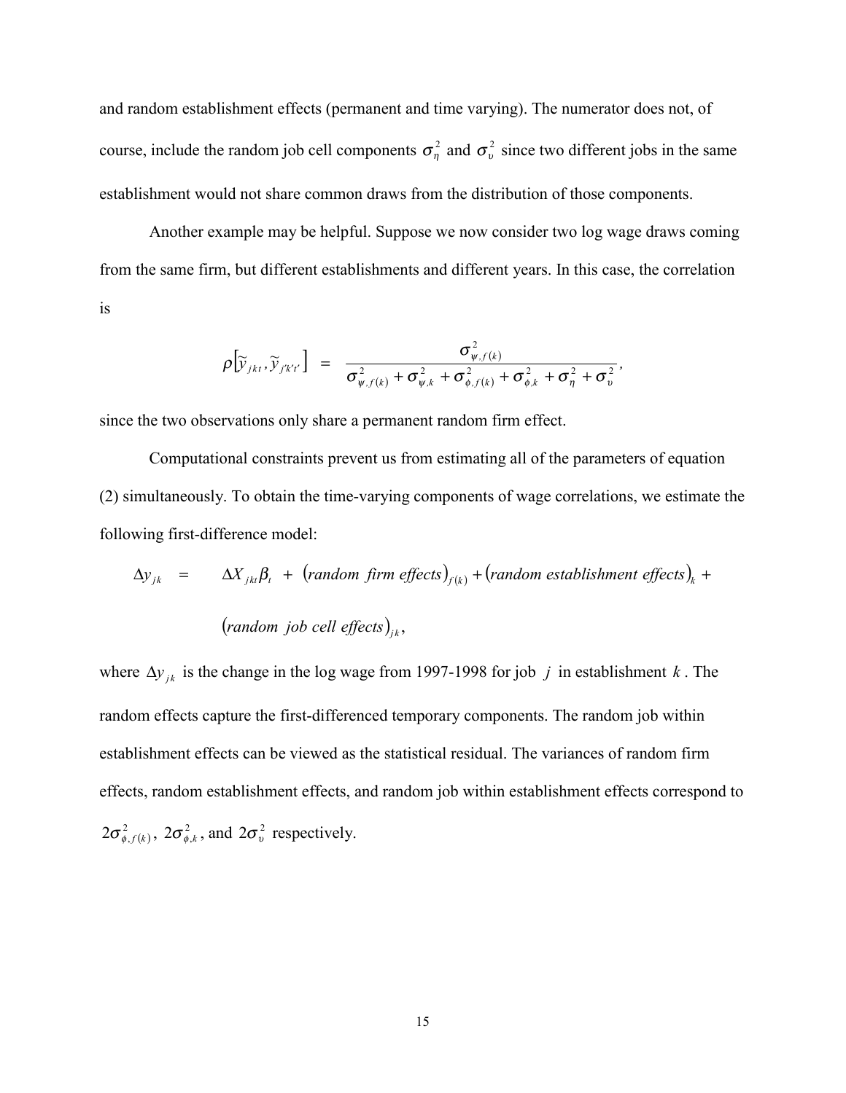and random establishment effects (permanent and time varying). The numerator does not, of course, include the random job cell components  $\sigma_n^2$  and  $\sigma_v^2$  since two different jobs in the same establishment would not share common draws from the distribution of those components.

Another example may be helpful. Suppose we now consider two log wage draws coming from the same firm, but different establishments and different years. In this case, the correlation is

$$
\rho[\widetilde{y}_{jkt}, \widetilde{y}_{j'k'l'}] = \frac{\sigma_{\psi,f(k)}^2}{\sigma_{\psi,f(k)}^2 + \sigma_{\psi,k}^2 + \sigma_{\phi,f(k)}^2 + \sigma_{\phi,k}^2 + \sigma_{\eta}^2 + \sigma_{\upsilon}^2},
$$

since the two observations only share a permanent random firm effect.

Computational constraints prevent us from estimating all of the parameters of equation (2) simultaneously. To obtain the time-varying components of wage correlations, we estimate the following first-difference model:

$$
\Delta y_{jk} = \Delta X_{jkt} \beta_t + (random\ firm\ effects)_{f(k)} + (random\ establishment\ effects)_{k} + (random\ job\ cell\ effects)_{jk},
$$

where  $\Delta y_{jk}$  is the change in the log wage from 1997-1998 for job *j* in establishment *k*. The random effects capture the first-differenced temporary components. The random job within establishment effects can be viewed as the statistical residual. The variances of random firm effects, random establishment effects, and random job within establishment effects correspond to  $2\sigma_{\phi,f(k)}^2$ ,  $2\sigma_{\phi,k}^2$ , and  $2\sigma_v^2$  respectively.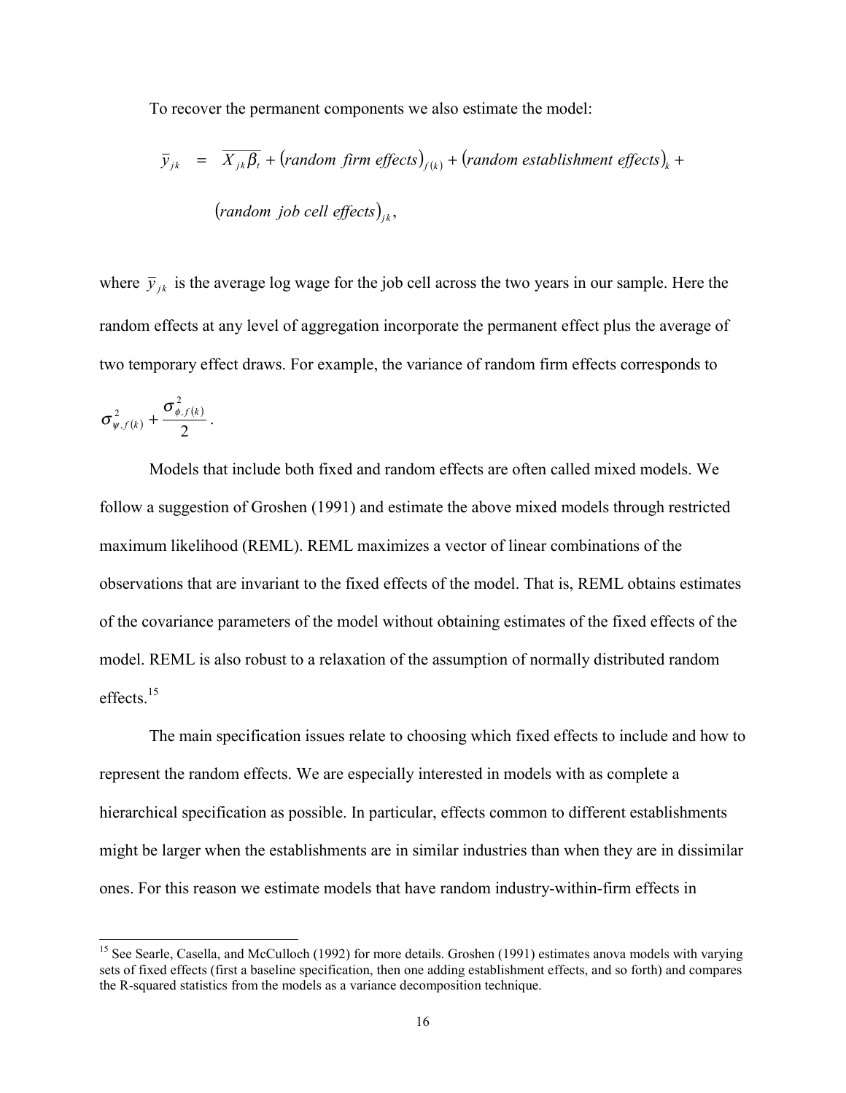To recover the permanent components we also estimate the model:

$$
\overline{y}_{jk} = \overline{X_{jk}\beta_t} + (random\text{ firm effects})_{f(k)} + (random\text{ establishment effects})_k + (random\text{ job cell effects})_{jk},
$$
\n(random job cell effects)<sub>jk</sub>,

where  $\bar{y}_{ik}$  is the average log wage for the job cell across the two years in our sample. Here the random effects at any level of aggregation incorporate the permanent effect plus the average of two temporary effect draws. For example, the variance of random firm effects corresponds to

$$
\sigma^2_{\psi,f(k)}+\frac{\sigma^2_{\phi,f(k)}}{2}\,.
$$

 $\overline{a}$ 

Models that include both fixed and random effects are often called mixed models. We follow a suggestion of Groshen (1991) and estimate the above mixed models through restricted maximum likelihood (REML). REML maximizes a vector of linear combinations of the observations that are invariant to the fixed effects of the model. That is, REML obtains estimates of the covariance parameters of the model without obtaining estimates of the fixed effects of the model. REML is also robust to a relaxation of the assumption of normally distributed random effects.15

The main specification issues relate to choosing which fixed effects to include and how to represent the random effects. We are especially interested in models with as complete a hierarchical specification as possible. In particular, effects common to different establishments might be larger when the establishments are in similar industries than when they are in dissimilar ones. For this reason we estimate models that have random industry-within-firm effects in

<sup>&</sup>lt;sup>15</sup> See Searle, Casella, and McCulloch (1992) for more details. Groshen (1991) estimates anova models with varying sets of fixed effects (first a baseline specification, then one adding establishment effects, and so forth) and compares the R-squared statistics from the models as a variance decomposition technique.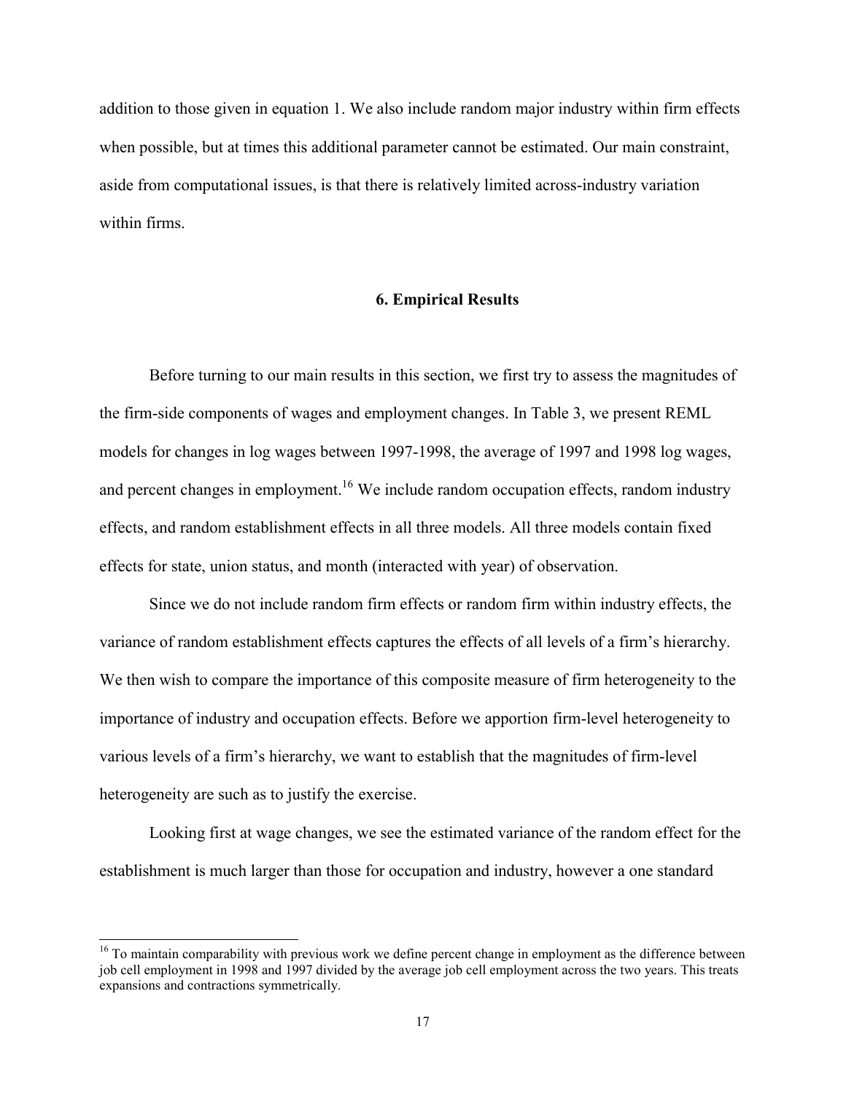addition to those given in equation 1. We also include random major industry within firm effects when possible, but at times this additional parameter cannot be estimated. Our main constraint, aside from computational issues, is that there is relatively limited across-industry variation within firms.

#### **6. Empirical Results**

Before turning to our main results in this section, we first try to assess the magnitudes of the firm-side components of wages and employment changes. In Table 3, we present REML models for changes in log wages between 1997-1998, the average of 1997 and 1998 log wages, and percent changes in employment.<sup>16</sup> We include random occupation effects, random industry effects, and random establishment effects in all three models. All three models contain fixed effects for state, union status, and month (interacted with year) of observation.

Since we do not include random firm effects or random firm within industry effects, the variance of random establishment effects captures the effects of all levels of a firmís hierarchy. We then wish to compare the importance of this composite measure of firm heterogeneity to the importance of industry and occupation effects. Before we apportion firm-level heterogeneity to various levels of a firmís hierarchy, we want to establish that the magnitudes of firm-level heterogeneity are such as to justify the exercise.

Looking first at wage changes, we see the estimated variance of the random effect for the establishment is much larger than those for occupation and industry, however a one standard

<sup>&</sup>lt;sup>16</sup> To maintain comparability with previous work we define percent change in employment as the difference between job cell employment in 1998 and 1997 divided by the average job cell employment across the two years. This treats expansions and contractions symmetrically.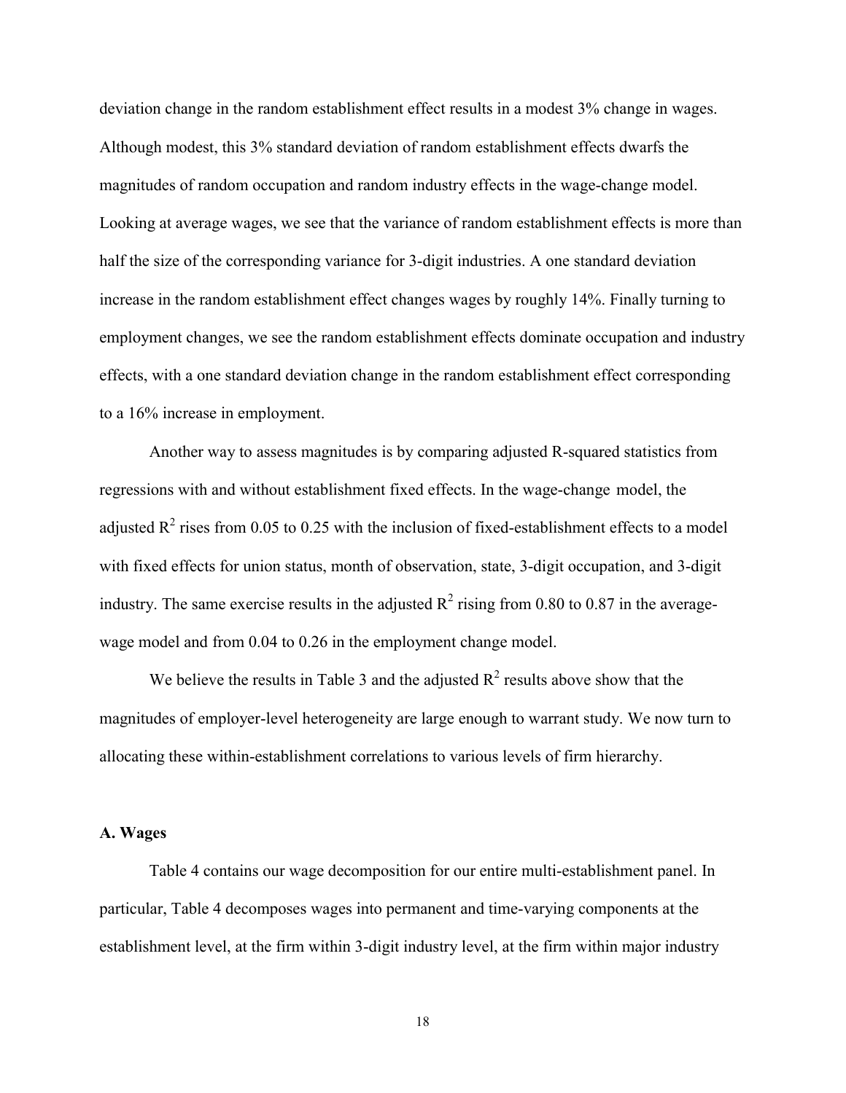deviation change in the random establishment effect results in a modest 3% change in wages. Although modest, this 3% standard deviation of random establishment effects dwarfs the magnitudes of random occupation and random industry effects in the wage-change model. Looking at average wages, we see that the variance of random establishment effects is more than half the size of the corresponding variance for 3-digit industries. A one standard deviation increase in the random establishment effect changes wages by roughly 14%. Finally turning to employment changes, we see the random establishment effects dominate occupation and industry effects, with a one standard deviation change in the random establishment effect corresponding to a 16% increase in employment.

Another way to assess magnitudes is by comparing adjusted R-squared statistics from regressions with and without establishment fixed effects. In the wage-change model, the adjusted  $R^2$  rises from 0.05 to 0.25 with the inclusion of fixed-establishment effects to a model with fixed effects for union status, month of observation, state, 3-digit occupation, and 3-digit industry. The same exercise results in the adjusted  $R^2$  rising from 0.80 to 0.87 in the averagewage model and from 0.04 to 0.26 in the employment change model.

We believe the results in Table 3 and the adjusted  $R^2$  results above show that the magnitudes of employer-level heterogeneity are large enough to warrant study. We now turn to allocating these within-establishment correlations to various levels of firm hierarchy.

#### **A. Wages**

Table 4 contains our wage decomposition for our entire multi-establishment panel. In particular, Table 4 decomposes wages into permanent and time-varying components at the establishment level, at the firm within 3-digit industry level, at the firm within major industry

18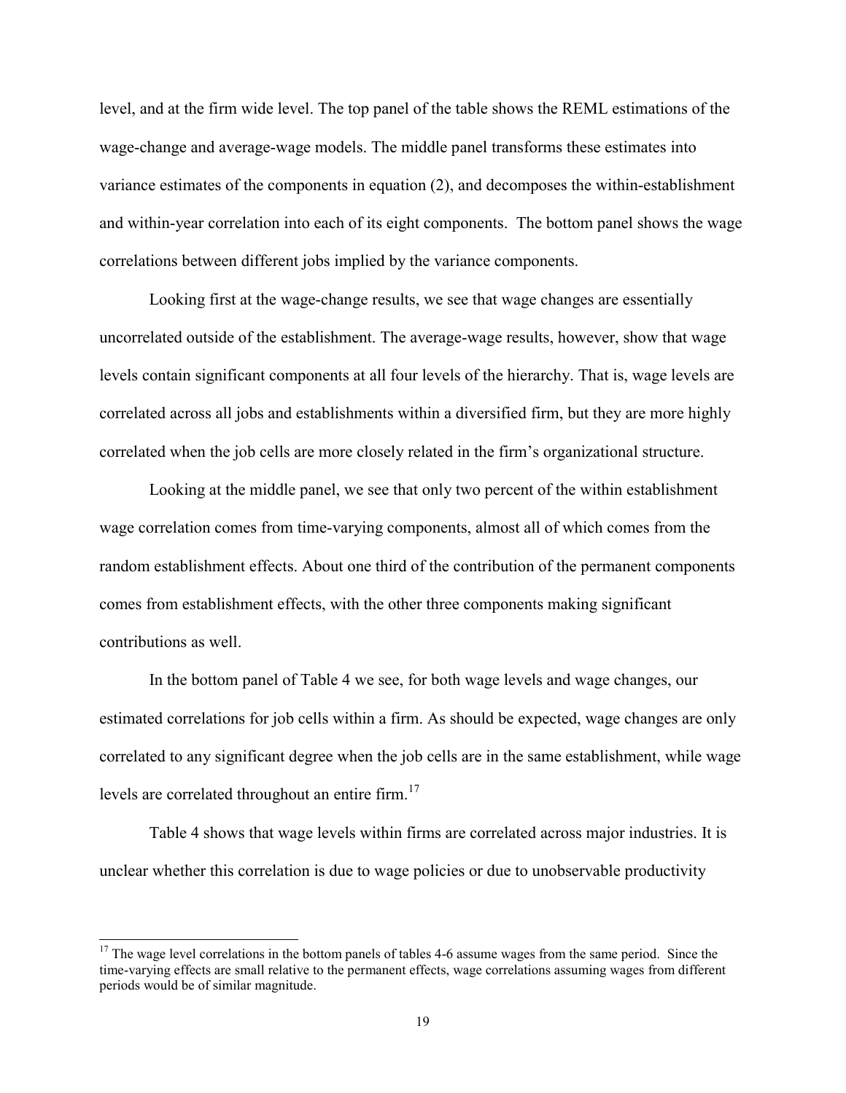level, and at the firm wide level. The top panel of the table shows the REML estimations of the wage-change and average-wage models. The middle panel transforms these estimates into variance estimates of the components in equation (2), and decomposes the within-establishment and within-year correlation into each of its eight components. The bottom panel shows the wage correlations between different jobs implied by the variance components.

Looking first at the wage-change results, we see that wage changes are essentially uncorrelated outside of the establishment. The average-wage results, however, show that wage levels contain significant components at all four levels of the hierarchy. That is, wage levels are correlated across all jobs and establishments within a diversified firm, but they are more highly correlated when the job cells are more closely related in the firm's organizational structure.

Looking at the middle panel, we see that only two percent of the within establishment wage correlation comes from time-varying components, almost all of which comes from the random establishment effects. About one third of the contribution of the permanent components comes from establishment effects, with the other three components making significant contributions as well.

In the bottom panel of Table 4 we see, for both wage levels and wage changes, our estimated correlations for job cells within a firm. As should be expected, wage changes are only correlated to any significant degree when the job cells are in the same establishment, while wage levels are correlated throughout an entire firm.<sup>17</sup>

Table 4 shows that wage levels within firms are correlated across major industries. It is unclear whether this correlation is due to wage policies or due to unobservable productivity

<sup>&</sup>lt;sup>17</sup> The wage level correlations in the bottom panels of tables 4-6 assume wages from the same period. Since the time-varying effects are small relative to the permanent effects, wage correlations assuming wages from different periods would be of similar magnitude.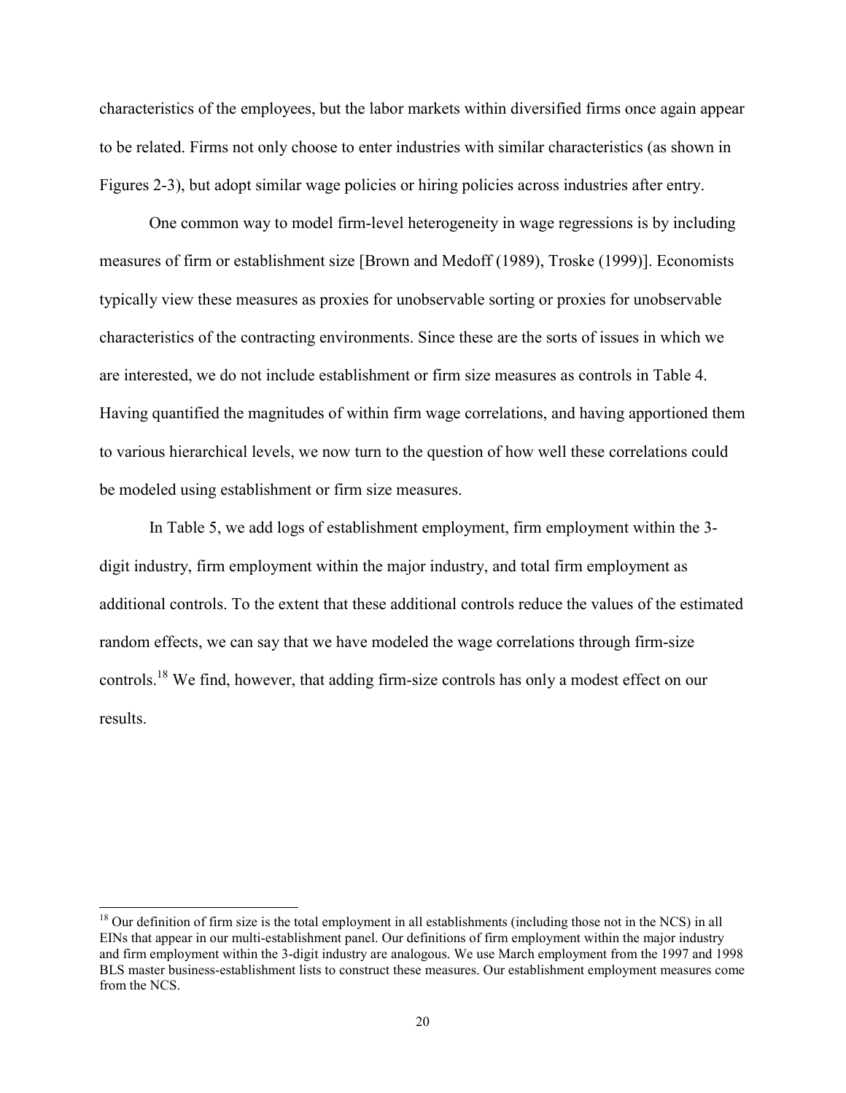characteristics of the employees, but the labor markets within diversified firms once again appear to be related. Firms not only choose to enter industries with similar characteristics (as shown in Figures 2-3), but adopt similar wage policies or hiring policies across industries after entry.

One common way to model firm-level heterogeneity in wage regressions is by including measures of firm or establishment size [Brown and Medoff (1989), Troske (1999)]. Economists typically view these measures as proxies for unobservable sorting or proxies for unobservable characteristics of the contracting environments. Since these are the sorts of issues in which we are interested, we do not include establishment or firm size measures as controls in Table 4. Having quantified the magnitudes of within firm wage correlations, and having apportioned them to various hierarchical levels, we now turn to the question of how well these correlations could be modeled using establishment or firm size measures.

In Table 5, we add logs of establishment employment, firm employment within the 3 digit industry, firm employment within the major industry, and total firm employment as additional controls. To the extent that these additional controls reduce the values of the estimated random effects, we can say that we have modeled the wage correlations through firm-size controls.<sup>18</sup> We find, however, that adding firm-size controls has only a modest effect on our results.

 $<sup>18</sup>$  Our definition of firm size is the total employment in all establishments (including those not in the NCS) in all</sup> EINs that appear in our multi-establishment panel. Our definitions of firm employment within the major industry and firm employment within the 3-digit industry are analogous. We use March employment from the 1997 and 1998 BLS master business-establishment lists to construct these measures. Our establishment employment measures come from the NCS.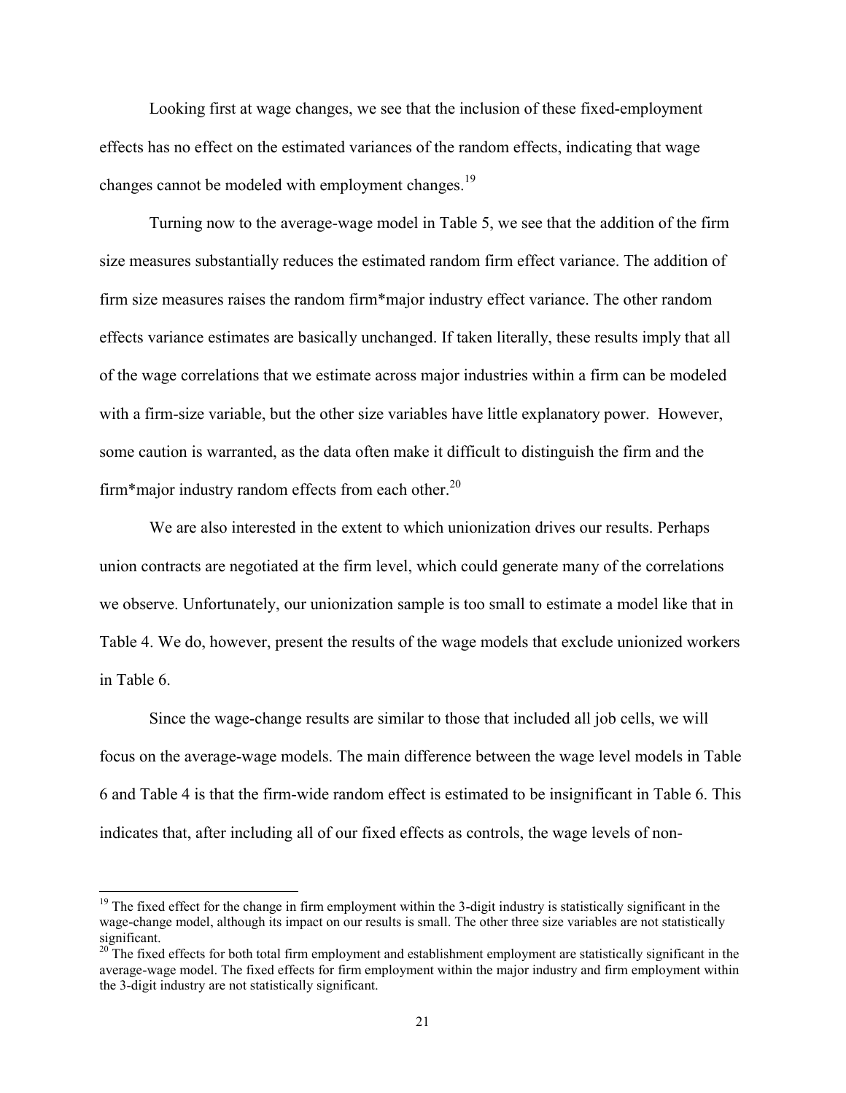Looking first at wage changes, we see that the inclusion of these fixed-employment effects has no effect on the estimated variances of the random effects, indicating that wage changes cannot be modeled with employment changes.<sup>19</sup>

Turning now to the average-wage model in Table 5, we see that the addition of the firm size measures substantially reduces the estimated random firm effect variance. The addition of firm size measures raises the random firm\*major industry effect variance. The other random effects variance estimates are basically unchanged. If taken literally, these results imply that all of the wage correlations that we estimate across major industries within a firm can be modeled with a firm-size variable, but the other size variables have little explanatory power. However, some caution is warranted, as the data often make it difficult to distinguish the firm and the firm\*major industry random effects from each other. $^{20}$ 

We are also interested in the extent to which unionization drives our results. Perhaps union contracts are negotiated at the firm level, which could generate many of the correlations we observe. Unfortunately, our unionization sample is too small to estimate a model like that in Table 4. We do, however, present the results of the wage models that exclude unionized workers in Table 6.

Since the wage-change results are similar to those that included all job cells, we will focus on the average-wage models. The main difference between the wage level models in Table 6 and Table 4 is that the firm-wide random effect is estimated to be insignificant in Table 6. This indicates that, after including all of our fixed effects as controls, the wage levels of non-

 $19$  The fixed effect for the change in firm employment within the 3-digit industry is statistically significant in the wage-change model, although its impact on our results is small. The other three size variables are not statistically significant.

 $20$  The fixed effects for both total firm employment and establishment employment are statistically significant in the average-wage model. The fixed effects for firm employment within the major industry and firm employment within the 3-digit industry are not statistically significant.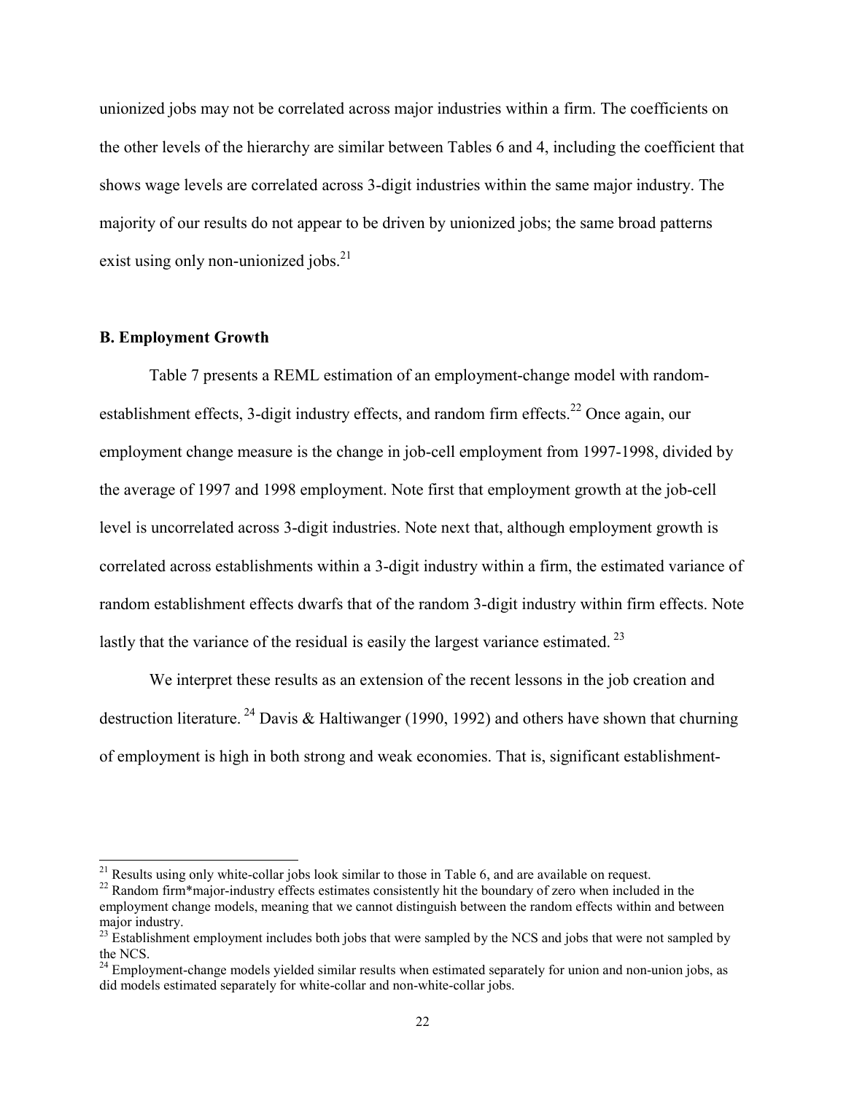unionized jobs may not be correlated across major industries within a firm. The coefficients on the other levels of the hierarchy are similar between Tables 6 and 4, including the coefficient that shows wage levels are correlated across 3-digit industries within the same major industry. The majority of our results do not appear to be driven by unionized jobs; the same broad patterns exist using only non-unionized jobs. $^{21}$ 

#### **B. Employment Growth**

 $\overline{a}$ 

Table 7 presents a REML estimation of an employment-change model with randomestablishment effects, 3-digit industry effects, and random firm effects.<sup>22</sup> Once again, our employment change measure is the change in job-cell employment from 1997-1998, divided by the average of 1997 and 1998 employment. Note first that employment growth at the job-cell level is uncorrelated across 3-digit industries. Note next that, although employment growth is correlated across establishments within a 3-digit industry within a firm, the estimated variance of random establishment effects dwarfs that of the random 3-digit industry within firm effects. Note lastly that the variance of the residual is easily the largest variance estimated.<sup>23</sup>

We interpret these results as an extension of the recent lessons in the job creation and destruction literature. <sup>24</sup> Davis & Haltiwanger (1990, 1992) and others have shown that churning of employment is high in both strong and weak economies. That is, significant establishment-

 $21$  Results using only white-collar jobs look similar to those in Table 6, and are available on request.

<sup>&</sup>lt;sup>22</sup> Random firm\*major-industry effects estimates consistently hit the boundary of zero when included in the employment change models, meaning that we cannot distinguish between the random effects within and between major industry.

<sup>&</sup>lt;sup>23</sup> Establishment employment includes both jobs that were sampled by the NCS and jobs that were not sampled by the NCS.

 $^{24}$  Employment-change models yielded similar results when estimated separately for union and non-union jobs, as did models estimated separately for white-collar and non-white-collar jobs.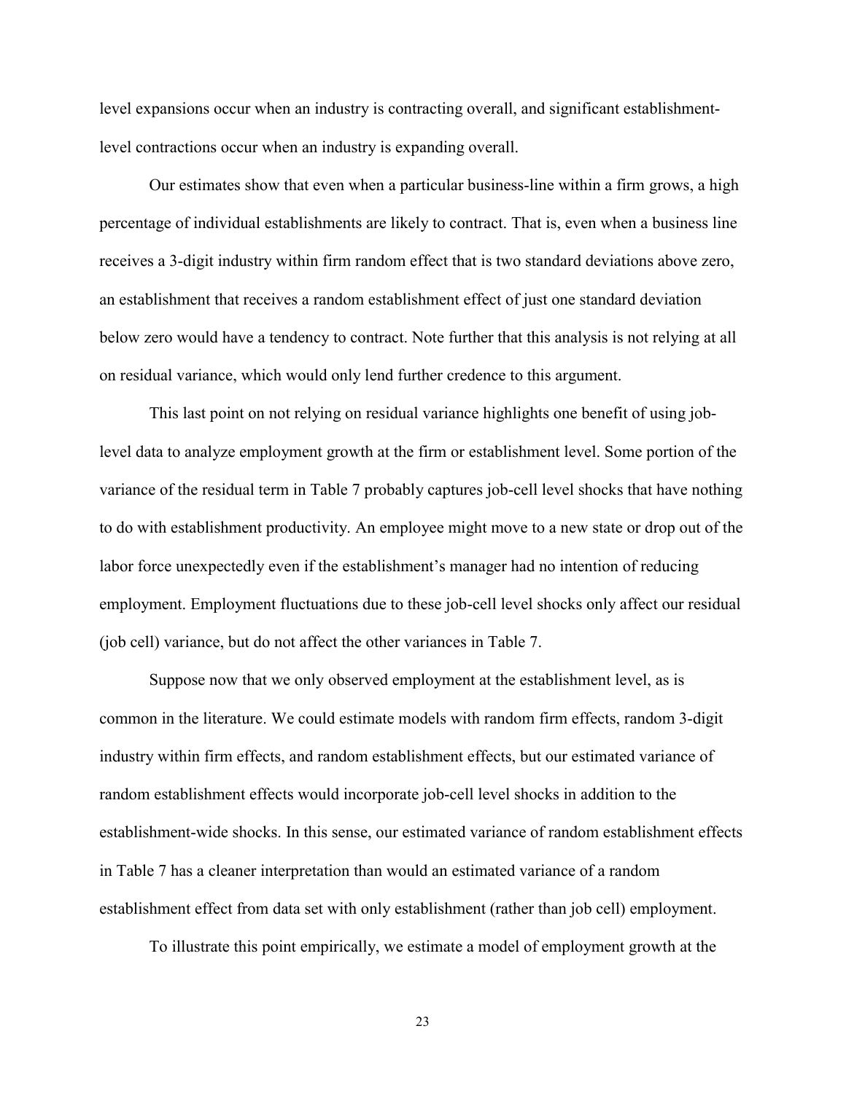level expansions occur when an industry is contracting overall, and significant establishmentlevel contractions occur when an industry is expanding overall.

Our estimates show that even when a particular business-line within a firm grows, a high percentage of individual establishments are likely to contract. That is, even when a business line receives a 3-digit industry within firm random effect that is two standard deviations above zero, an establishment that receives a random establishment effect of just one standard deviation below zero would have a tendency to contract. Note further that this analysis is not relying at all on residual variance, which would only lend further credence to this argument.

This last point on not relying on residual variance highlights one benefit of using joblevel data to analyze employment growth at the firm or establishment level. Some portion of the variance of the residual term in Table 7 probably captures job-cell level shocks that have nothing to do with establishment productivity. An employee might move to a new state or drop out of the labor force unexpectedly even if the establishment's manager had no intention of reducing employment. Employment fluctuations due to these job-cell level shocks only affect our residual (job cell) variance, but do not affect the other variances in Table 7.

Suppose now that we only observed employment at the establishment level, as is common in the literature. We could estimate models with random firm effects, random 3-digit industry within firm effects, and random establishment effects, but our estimated variance of random establishment effects would incorporate job-cell level shocks in addition to the establishment-wide shocks. In this sense, our estimated variance of random establishment effects in Table 7 has a cleaner interpretation than would an estimated variance of a random establishment effect from data set with only establishment (rather than job cell) employment.

To illustrate this point empirically, we estimate a model of employment growth at the

23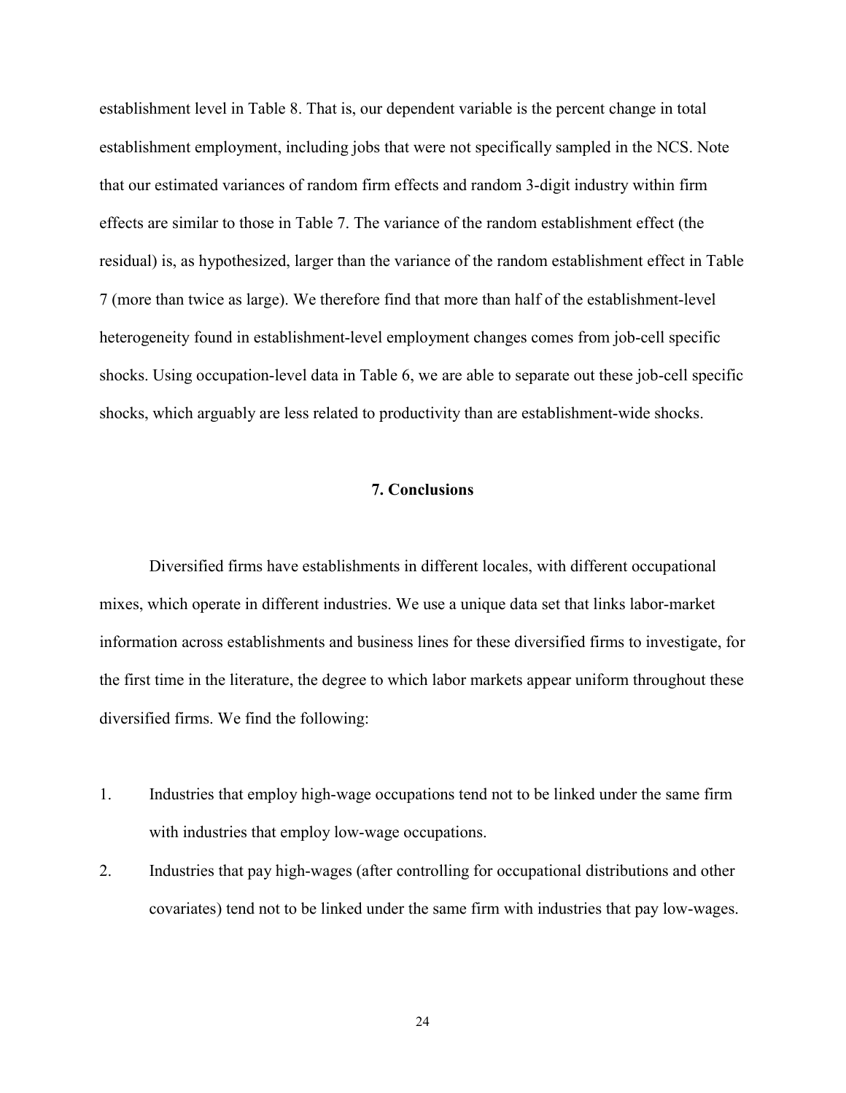establishment level in Table 8. That is, our dependent variable is the percent change in total establishment employment, including jobs that were not specifically sampled in the NCS. Note that our estimated variances of random firm effects and random 3-digit industry within firm effects are similar to those in Table 7. The variance of the random establishment effect (the residual) is, as hypothesized, larger than the variance of the random establishment effect in Table 7 (more than twice as large). We therefore find that more than half of the establishment-level heterogeneity found in establishment-level employment changes comes from job-cell specific shocks. Using occupation-level data in Table 6, we are able to separate out these job-cell specific shocks, which arguably are less related to productivity than are establishment-wide shocks.

#### **7. Conclusions**

Diversified firms have establishments in different locales, with different occupational mixes, which operate in different industries. We use a unique data set that links labor-market information across establishments and business lines for these diversified firms to investigate, for the first time in the literature, the degree to which labor markets appear uniform throughout these diversified firms. We find the following:

- 1. Industries that employ high-wage occupations tend not to be linked under the same firm with industries that employ low-wage occupations.
- 2. Industries that pay high-wages (after controlling for occupational distributions and other covariates) tend not to be linked under the same firm with industries that pay low-wages.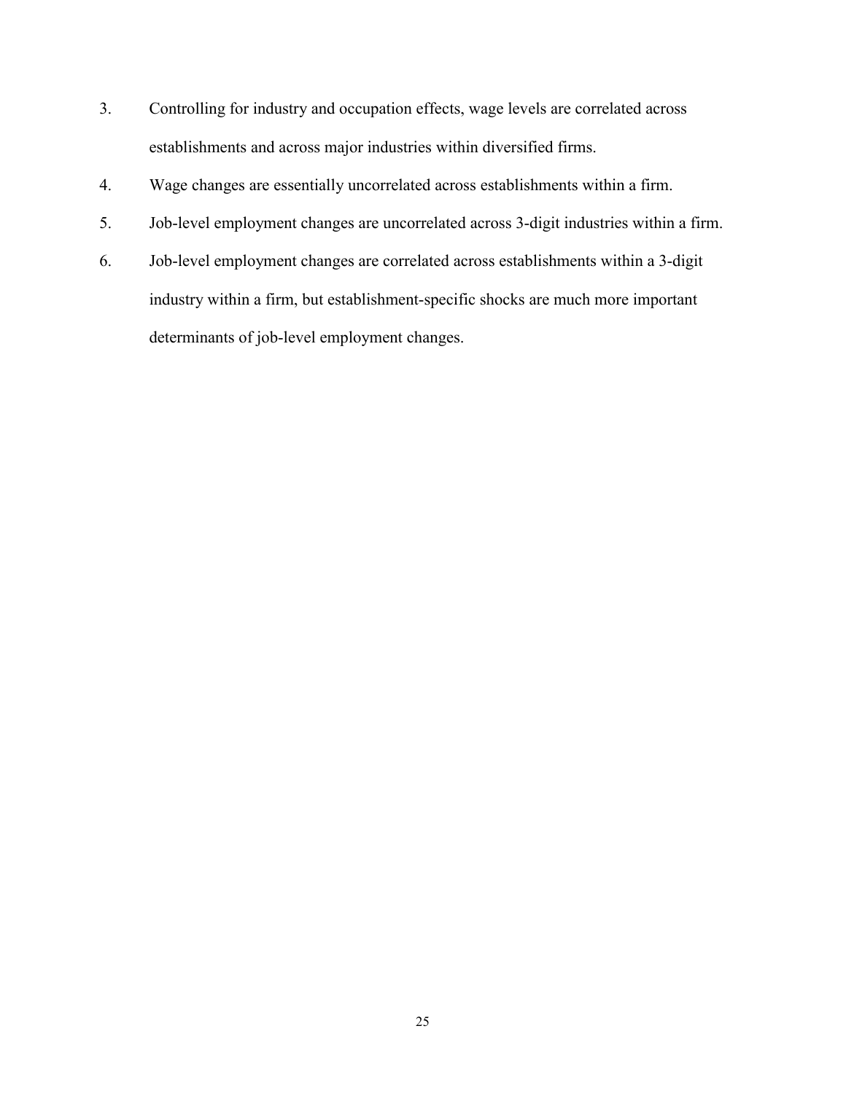- 3. Controlling for industry and occupation effects, wage levels are correlated across establishments and across major industries within diversified firms.
- 4. Wage changes are essentially uncorrelated across establishments within a firm.
- 5. Job-level employment changes are uncorrelated across 3-digit industries within a firm.
- 6. Job-level employment changes are correlated across establishments within a 3-digit industry within a firm, but establishment-specific shocks are much more important determinants of job-level employment changes.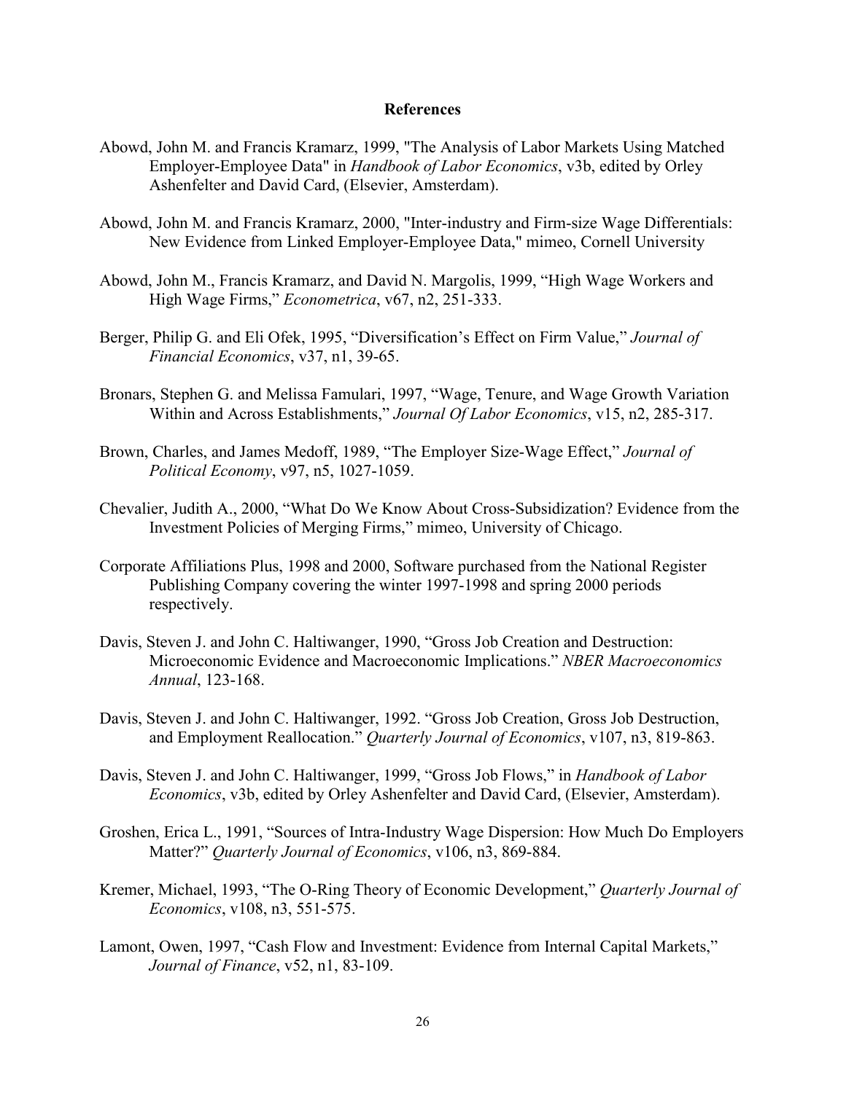#### **References**

- Abowd, John M. and Francis Kramarz, 1999, "The Analysis of Labor Markets Using Matched Employer-Employee Data" in *Handbook of Labor Economics*, v3b, edited by Orley Ashenfelter and David Card, (Elsevier, Amsterdam).
- Abowd, John M. and Francis Kramarz, 2000, "Inter-industry and Firm-size Wage Differentials: New Evidence from Linked Employer-Employee Data," mimeo, Cornell University
- Abowd, John M., Francis Kramarz, and David N. Margolis, 1999, "High Wage Workers and High Wage Firms," *Econometrica*, v67, n2, 251-333.
- Berger, Philip G. and Eli Ofek, 1995, "Diversification's Effect on Firm Value," *Journal of Financial Economics*, v37, n1, 39-65.
- Bronars, Stephen G. and Melissa Famulari, 1997, "Wage, Tenure, and Wage Growth Variation Within and Across Establishments," *Journal Of Labor Economics*, v15, n2, 285-317.
- Brown, Charles, and James Medoff, 1989, "The Employer Size-Wage Effect," Journal of *Political Economy*, v97, n5, 1027-1059.
- Chevalier, Judith A., 2000, "What Do We Know About Cross-Subsidization? Evidence from the Investment Policies of Merging Firms," mimeo, University of Chicago.
- Corporate Affiliations Plus, 1998 and 2000, Software purchased from the National Register Publishing Company covering the winter 1997-1998 and spring 2000 periods respectively.
- Davis, Steven J. and John C. Haltiwanger, 1990, "Gross Job Creation and Destruction: Microeconomic Evidence and Macroeconomic Implications.î *NBER Macroeconomics Annual*, 123-168.
- Davis, Steven J. and John C. Haltiwanger, 1992. "Gross Job Creation, Gross Job Destruction, and Employment Reallocation." *Quarterly Journal of Economics*, v107, n3, 819-863.
- Davis, Steven J. and John C. Haltiwanger, 1999, "Gross Job Flows," in *Handbook of Labor Economics*, v3b, edited by Orley Ashenfelter and David Card, (Elsevier, Amsterdam).
- Groshen, Erica L., 1991, "Sources of Intra-Industry Wage Dispersion: How Much Do Employers Matter?î *Quarterly Journal of Economics*, v106, n3, 869-884.
- Kremer, Michael, 1993, "The O-Ring Theory of Economic Development," *Quarterly Journal of Economics*, v108, n3, 551-575.
- Lamont, Owen, 1997, "Cash Flow and Investment: Evidence from Internal Capital Markets," *Journal of Finance*, v52, n1, 83-109.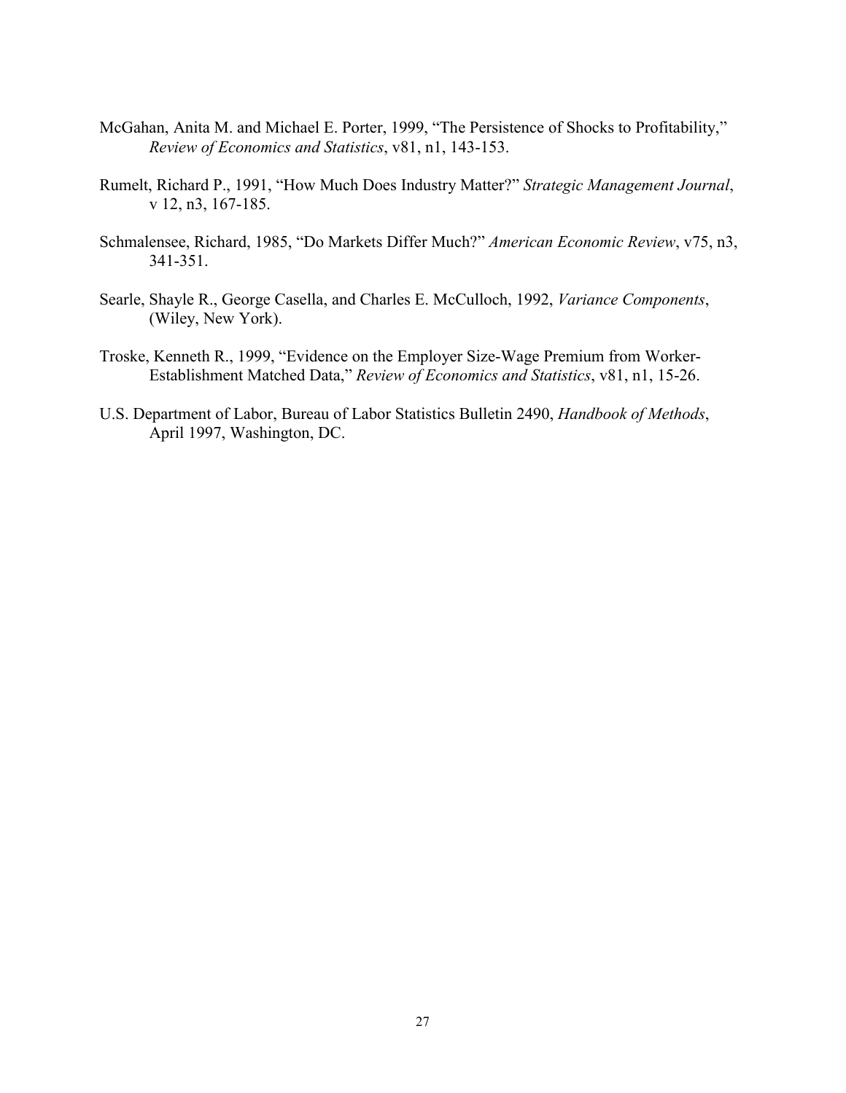- McGahan, Anita M. and Michael E. Porter, 1999, "The Persistence of Shocks to Profitability," *Review of Economics and Statistics*, v81, n1, 143-153.
- Rumelt, Richard P., 1991, "How Much Does Industry Matter?" *Strategic Management Journal*, v 12, n3, 167-185.
- Schmalensee, Richard, 1985, "Do Markets Differ Much?" American Economic Review, v75, n3, 341-351.
- Searle, Shayle R., George Casella, and Charles E. McCulloch, 1992, *Variance Components*, (Wiley, New York).
- Troske, Kenneth R., 1999, "Evidence on the Employer Size-Wage Premium from Worker-Establishment Matched Data,î *Review of Economics and Statistics*, v81, n1, 15-26.
- U.S. Department of Labor, Bureau of Labor Statistics Bulletin 2490, *Handbook of Methods*, April 1997, Washington, DC.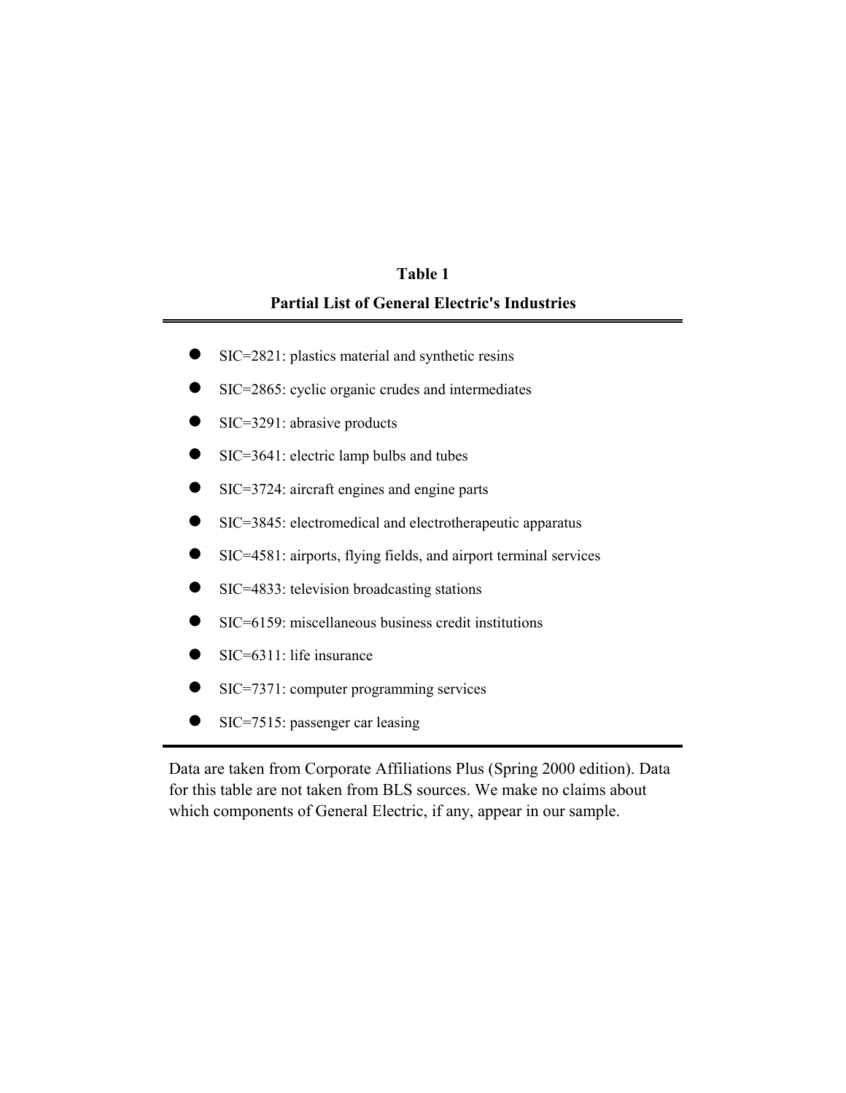## **Partial List of General Electric's Industries Table 1**

- SIC=2821: plastics material and synthetic resins
- SIC=2865: cyclic organic crudes and intermediates
- $\bullet$  SIC=3291: abrasive products
- $\bullet$  SIC=3641: electric lamp bulbs and tubes
- SIC=3724: aircraft engines and engine parts
- SIC=3845: electromedical and electrotherapeutic apparatus
- SIC=4581: airports, flying fields, and airport terminal services
- SIC=4833: television broadcasting stations
- $\bullet$  SIC=6159: miscellaneous business credit institutions
- $\bullet$  SIC=6311: life insurance
- SIC=7371: computer programming services
- SIC=7515: passenger car leasing

Data are taken from Corporate Affiliations Plus (Spring 2000 edition). Data for this table are not taken from BLS sources. We make no claims about which components of General Electric, if any, appear in our sample.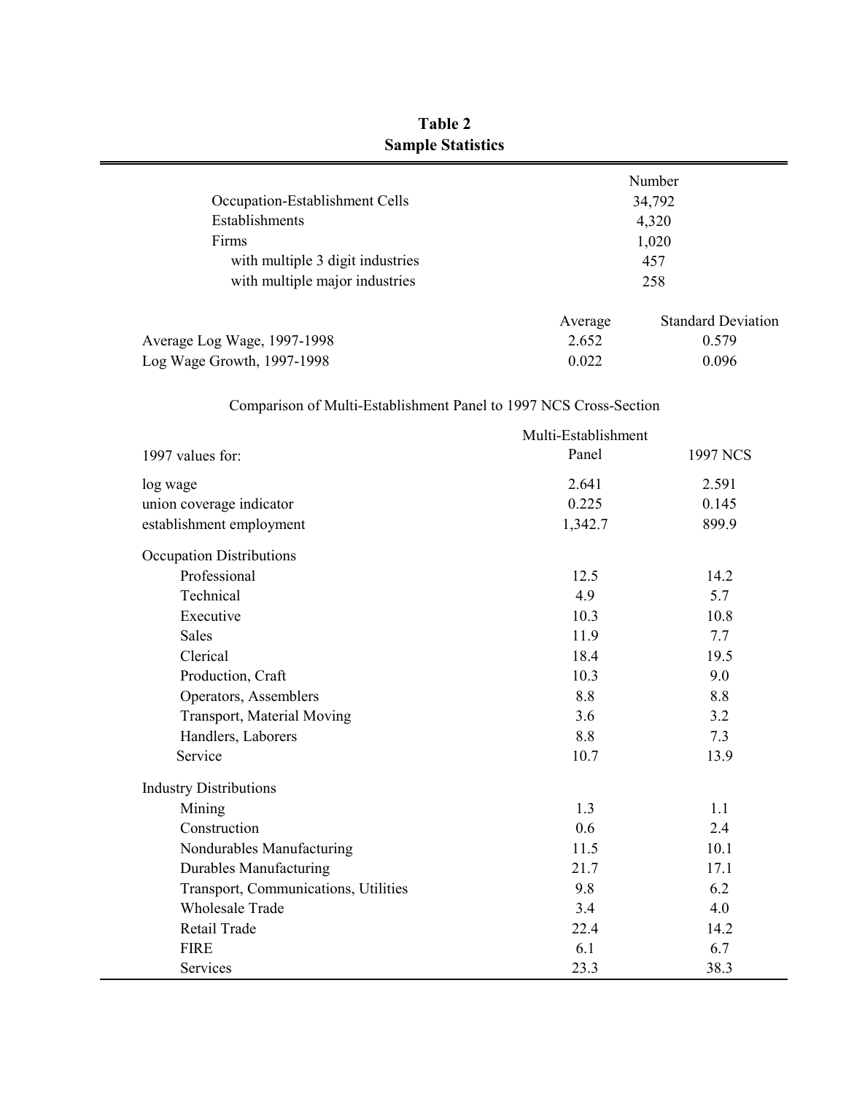|                                  |         | Number                    |
|----------------------------------|---------|---------------------------|
| Occupation-Establishment Cells   |         | 34,792                    |
| Establishments                   |         | 4,320                     |
| Firms                            |         | 1,020                     |
| with multiple 3 digit industries |         | 457                       |
| with multiple major industries   |         | 258                       |
|                                  | Average | <b>Standard Deviation</b> |
| Average Log Wage, 1997-1998      | 2.652   | 0.579                     |
| Log Wage Growth, 1997-1998       | 0.022   | 0.096                     |

## **Table 2 Sample Statistics**

## Comparison of Multi-Establishment Panel to 1997 NCS Cross-Section

|                                      | Multi-Establishment |                 |
|--------------------------------------|---------------------|-----------------|
| 1997 values for:                     | Panel               | <b>1997 NCS</b> |
| log wage                             | 2.641               | 2.591           |
| union coverage indicator             | 0.225               | 0.145           |
| establishment employment             | 1,342.7             | 899.9           |
| <b>Occupation Distributions</b>      |                     |                 |
| Professional                         | 12.5                | 14.2            |
| Technical                            | 4.9                 | 5.7             |
| Executive                            | 10.3                | 10.8            |
| <b>Sales</b>                         | 11.9                | 7.7             |
| Clerical                             | 18.4                | 19.5            |
| Production, Craft                    | 10.3                | 9.0             |
| Operators, Assemblers                | 8.8                 | 8.8             |
| Transport, Material Moving           | 3.6                 | 3.2             |
| Handlers, Laborers                   | 8.8                 | 7.3             |
| Service                              | 10.7                | 13.9            |
| <b>Industry Distributions</b>        |                     |                 |
| Mining                               | 1.3                 | 1.1             |
| Construction                         | 0.6                 | 2.4             |
| Nondurables Manufacturing            | 11.5                | 10.1            |
| <b>Durables Manufacturing</b>        | 21.7                | 17.1            |
| Transport, Communications, Utilities | 9.8                 | 6.2             |
| <b>Wholesale Trade</b>               | 3.4                 | 4.0             |
| Retail Trade                         | 22.4                | 14.2            |
| <b>FIRE</b>                          | 6.1                 | 6.7             |
| Services                             | 23.3                | 38.3            |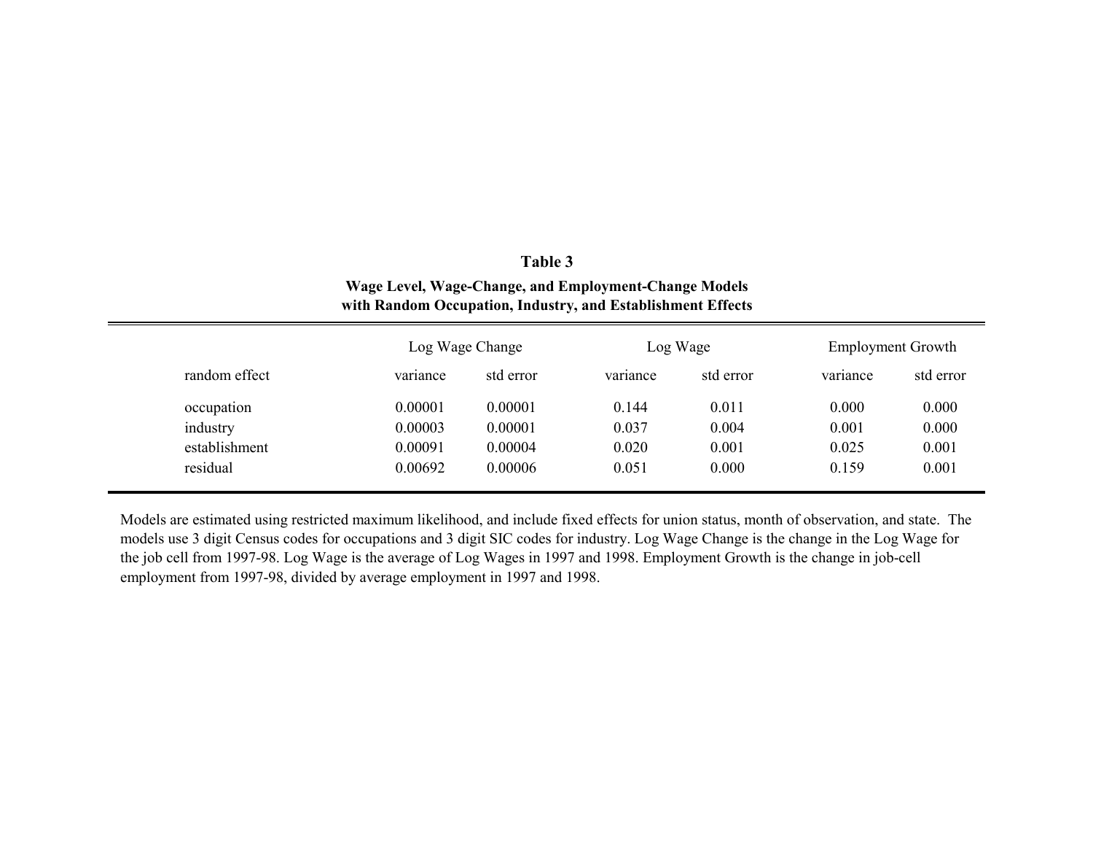|               | Wage Level, Wage-Change, and Employment-Change Models<br>with Random Occupation, Industry, and Establishment Effects |                 |          |           |          |                          |
|---------------|----------------------------------------------------------------------------------------------------------------------|-----------------|----------|-----------|----------|--------------------------|
|               |                                                                                                                      | Log Wage Change |          | Log Wage  |          | <b>Employment Growth</b> |
| random effect | variance                                                                                                             | std error       | variance | std error | variance | std error                |
| occupation    | 0.00001                                                                                                              | 0.00001         | 0.144    | 0.011     | 0.000    | 0.000                    |
| industry      | 0.00003                                                                                                              | 0.00001         | 0.037    | 0.004     | 0.001    | 0.000                    |
| establishment | 0.00091                                                                                                              | 0.00004         | 0.020    | 0.001     | 0.025    | 0.001                    |
| residual      | 0.00692                                                                                                              | 0.00006         | 0.051    | 0.000     | 0.159    | 0.001                    |

**Table 3**

Models are estimated using restricted maximum likelihood, and include fixed effects for union status, month of observation, and state. The models use 3 digit Census codes for occupations and 3 digit SIC codes for industry. Log Wage Change is the change in the Log Wage for the job cell from 1997-98. Log Wage is the average of Log Wages in 1997 and 1998. Employment Growth is the change in job-cell employment from 1997-98, divided by average employment in 1997 and 1998.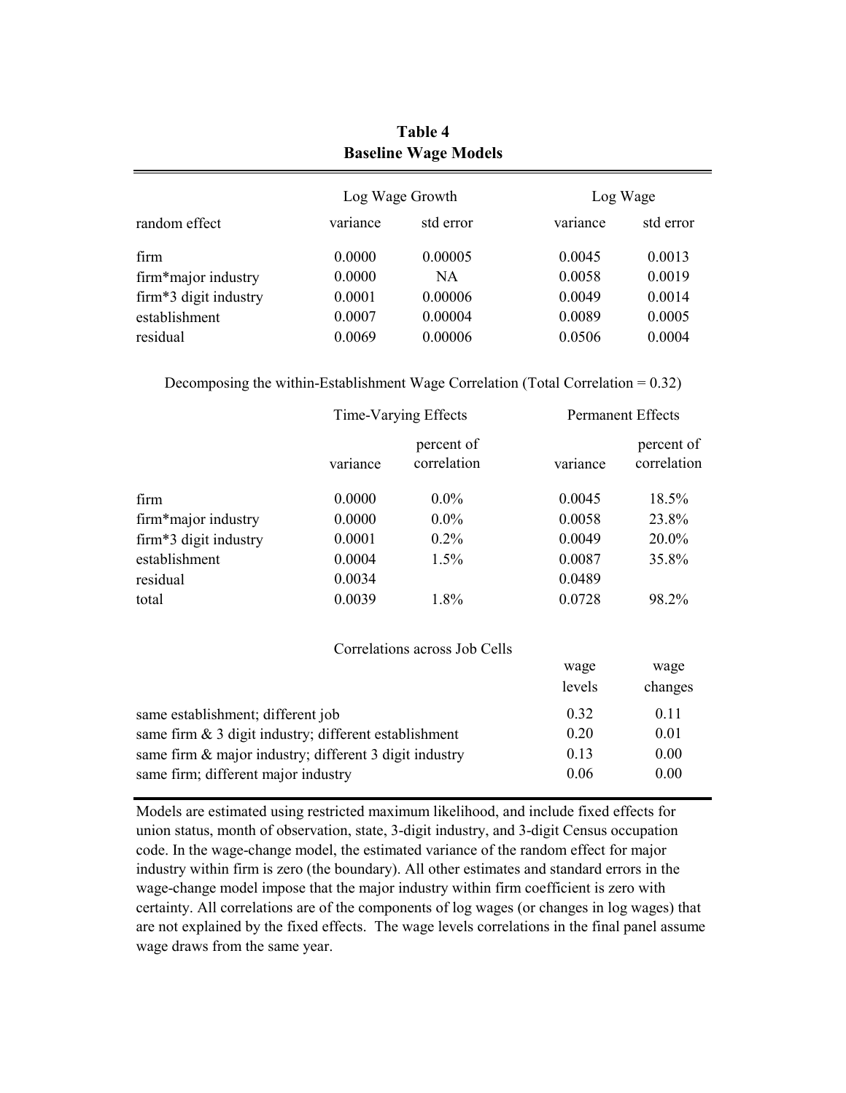|                       |          | -               |          |           |
|-----------------------|----------|-----------------|----------|-----------|
|                       |          | Log Wage Growth |          | Log Wage  |
| random effect         | variance | std error       | variance | std error |
| firm                  | 0.0000   | 0.00005         | 0.0045   | 0.0013    |
| firm*major industry   | 0.0000   | <b>NA</b>       | 0.0058   | 0.0019    |
| firm*3 digit industry | 0.0001   | 0.00006         | 0.0049   | 0.0014    |
| establishment         | 0.0007   | 0.00004         | 0.0089   | 0.0005    |
| residual              | 0.0069   | 0.00006         | 0.0506   | 0.0004    |

**Baseline Wage Models Table 4**

|  |  | Decomposing the within-Establishment Wage Correlation (Total Correlation = $0.32$ ) |  |  |
|--|--|-------------------------------------------------------------------------------------|--|--|
|  |  |                                                                                     |  |  |

|                       | Time-Varying Effects |                           |          | <b>Permanent Effects</b>  |
|-----------------------|----------------------|---------------------------|----------|---------------------------|
|                       | variance             | percent of<br>correlation | variance | percent of<br>correlation |
| firm                  | 0.0000               | $0.0\%$                   | 0.0045   | 18.5%                     |
| firm*major industry   | 0.0000               | $0.0\%$                   | 0.0058   | 23.8%                     |
| firm*3 digit industry | 0.0001               | $0.2\%$                   | 0.0049   | 20.0%                     |
| establishment         | 0.0004               | $1.5\%$                   | 0.0087   | 35.8%                     |
| residual              | 0.0034               |                           | 0.0489   |                           |
| total                 | 0.0039               | 1.8%                      | 0.0728   | 98.2%                     |

| Correlations across Job Cells                            |        |         |
|----------------------------------------------------------|--------|---------|
|                                                          | wage   | wage    |
|                                                          | levels | changes |
| same establishment; different job                        | 0.32   | 0.11    |
| same firm $\&$ 3 digit industry; different establishment | 0.20   | 0.01    |
| same firm & major industry; different 3 digit industry   | 0.13   | 0.00    |
| same firm; different major industry                      | 0.06   | 0.00    |

Models are estimated using restricted maximum likelihood, and include fixed effects for union status, month of observation, state, 3-digit industry, and 3-digit Census occupation code. In the wage-change model, the estimated variance of the random effect for major industry within firm is zero (the boundary). All other estimates and standard errors in the wage-change model impose that the major industry within firm coefficient is zero with certainty. All correlations are of the components of log wages (or changes in log wages) that are not explained by the fixed effects. The wage levels correlations in the final panel assume wage draws from the same year.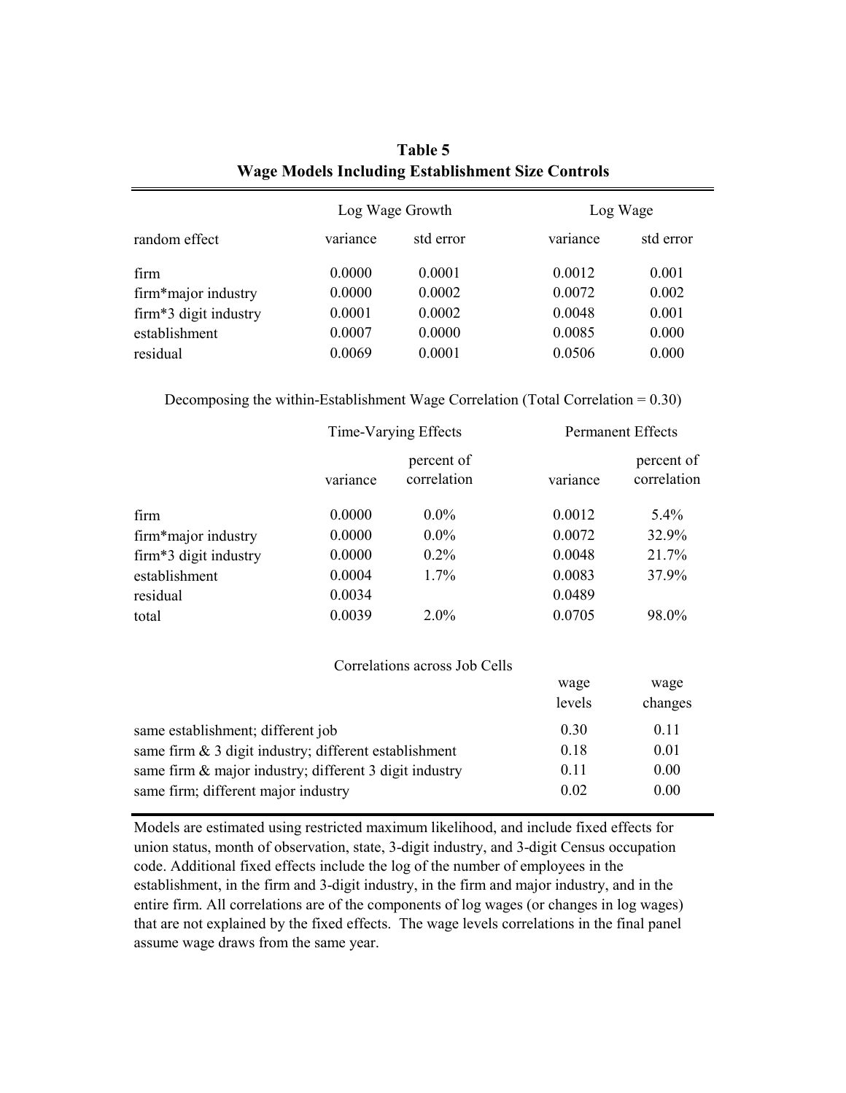|                       | Log Wage Growth |           |          | Log Wage  |
|-----------------------|-----------------|-----------|----------|-----------|
| random effect         | variance        | std error | variance | std error |
| firm                  | 0.0000          | 0.0001    | 0.0012   | 0.001     |
| firm*major industry   | 0.0000          | 0.0002    | 0.0072   | 0.002     |
| firm*3 digit industry | 0.0001          | 0.0002    | 0.0048   | 0.001     |
| establishment         | 0.0007          | 0.0000    | 0.0085   | 0.000     |
| residual              | 0.0069          | 0.0001    | 0.0506   | 0.000     |

| Table 5                                                  |  |
|----------------------------------------------------------|--|
| <b>Wage Models Including Establishment Size Controls</b> |  |

Decomposing the within-Establishment Wage Correlation (Total Correlation  $= 0.30$ )

|                       | Time-Varying Effects |                           |          | <b>Permanent Effects</b>  |
|-----------------------|----------------------|---------------------------|----------|---------------------------|
|                       | variance             | percent of<br>correlation | variance | percent of<br>correlation |
| firm                  | 0.0000               | $0.0\%$                   | 0.0012   | $5.4\%$                   |
| firm*major industry   | 0.0000               | $0.0\%$                   | 0.0072   | 32.9%                     |
| firm*3 digit industry | 0.0000               | $0.2\%$                   | 0.0048   | 21.7%                     |
| establishment         | 0.0004               | 1.7%                      | 0.0083   | 37.9%                     |
| residual              | 0.0034               |                           | 0.0489   |                           |
| total                 | 0.0039               | $2.0\%$                   | 0.0705   | 98.0%                     |

#### Correlations across Job Cells

|                                                          | wage   | wage    |
|----------------------------------------------------------|--------|---------|
|                                                          | levels | changes |
| same establishment; different job                        | 0.30   | 0.11    |
| same firm $\&$ 3 digit industry; different establishment | 0.18   | 0.01    |
| same firm & major industry; different 3 digit industry   | 0.11   | 0.00    |
| same firm; different major industry                      | 0.02   | 0.00    |

Models are estimated using restricted maximum likelihood, and include fixed effects for union status, month of observation, state, 3-digit industry, and 3-digit Census occupation code. Additional fixed effects include the log of the number of employees in the establishment, in the firm and 3-digit industry, in the firm and major industry, and in the entire firm. All correlations are of the components of log wages (or changes in log wages) that are not explained by the fixed effects. The wage levels correlations in the final panel assume wage draws from the same year.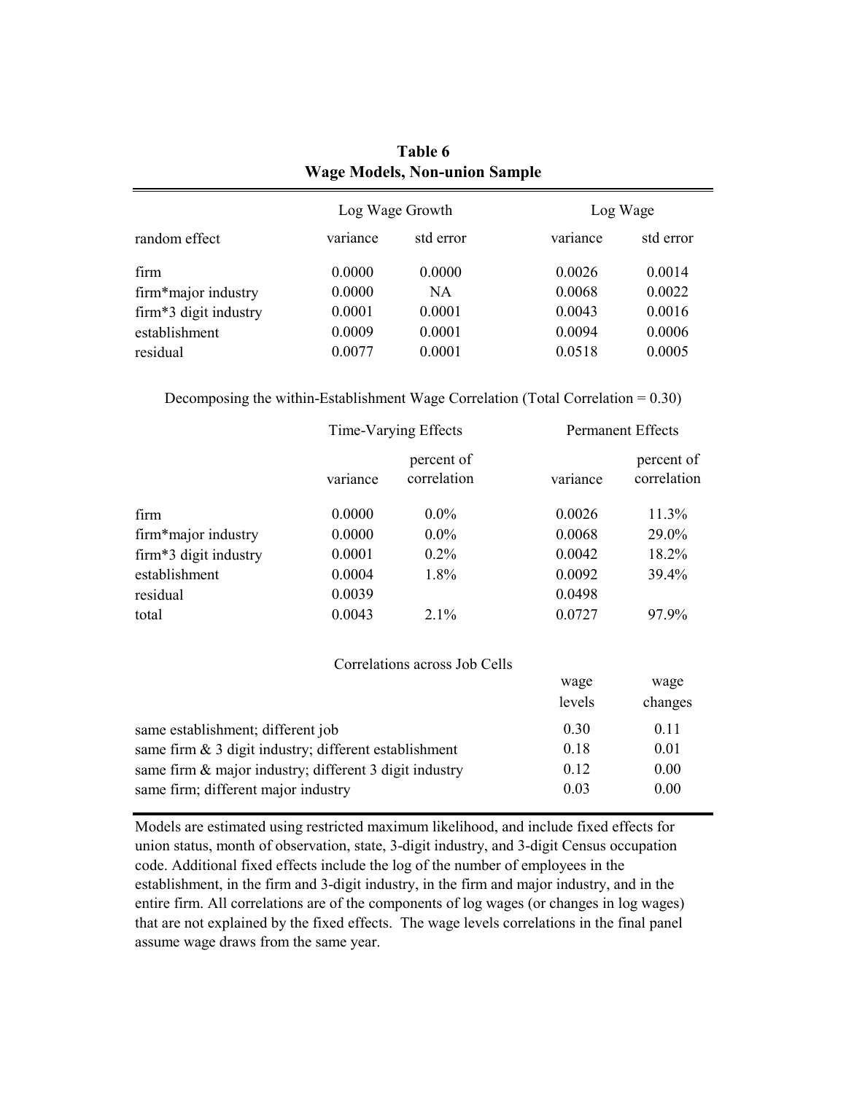| random effect         | Log Wage Growth |           | Log Wage |           |  |
|-----------------------|-----------------|-----------|----------|-----------|--|
|                       | variance        | std error | variance | std error |  |
| firm                  | 0.0000          | 0.0000    | 0.0026   | 0.0014    |  |
| firm*major industry   | 0.0000          | NA        | 0.0068   | 0.0022    |  |
| firm*3 digit industry | 0.0001          | 0.0001    | 0.0043   | 0.0016    |  |
| establishment         | 0.0009          | 0.0001    | 0.0094   | 0.0006    |  |
| residual              | 0.0077          | 0.0001    | 0.0518   | 0.0005    |  |
|                       |                 |           |          |           |  |

**Table 6 Wage Models, Non-union Sample**

Decomposing the within-Establishment Wage Correlation (Total Correlation  $= 0.30$ )

|                       | Time-Varying Effects |                           | <b>Permanent Effects</b> |                           |
|-----------------------|----------------------|---------------------------|--------------------------|---------------------------|
|                       | variance             | percent of<br>correlation | variance                 | percent of<br>correlation |
| firm                  | 0.0000               | $0.0\%$                   | 0.0026                   | 11.3%                     |
| firm*major industry   | 0.0000               | $0.0\%$                   | 0.0068                   | 29.0%                     |
| firm*3 digit industry | 0.0001               | $0.2\%$                   | 0.0042                   | 18.2%                     |
| establishment         | 0.0004               | 1.8%                      | 0.0092                   | 39.4%                     |
| residual              | 0.0039               |                           | 0.0498                   |                           |
| total                 | 0.0043               | 2.1%                      | 0.0727                   | 97.9%                     |

#### Correlations across Job Cells

|                                                          | wage   | wage    |
|----------------------------------------------------------|--------|---------|
|                                                          | levels | changes |
| same establishment; different job                        | 0.30   | 0.11    |
| same firm $\&$ 3 digit industry; different establishment | 0.18   | 0.01    |
| same firm & major industry; different 3 digit industry   | 0.12   | 0.00    |
| same firm; different major industry                      | 0.03   | 0.00    |

Models are estimated using restricted maximum likelihood, and include fixed effects for union status, month of observation, state, 3-digit industry, and 3-digit Census occupation code. Additional fixed effects include the log of the number of employees in the establishment, in the firm and 3-digit industry, in the firm and major industry, and in the entire firm. All correlations are of the components of log wages (or changes in log wages) that are not explained by the fixed effects. The wage levels correlations in the final panel assume wage draws from the same year.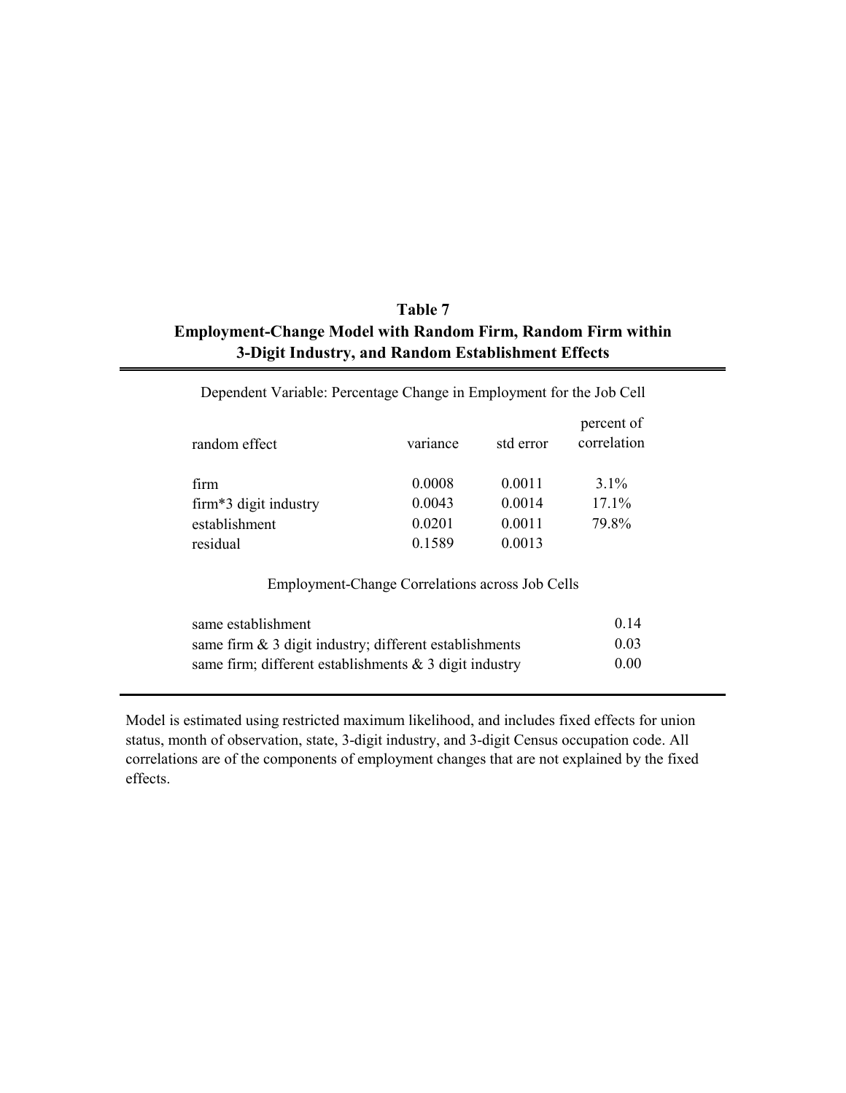## **Employment-Change Model with Random Firm, Random Firm within 3-Digit Industry, and Random Establishment Effects Table 7**

| random effect         | variance | std error | percent of<br>correlation |
|-----------------------|----------|-----------|---------------------------|
| firm                  | 0.0008   | 0.0011    | $3.1\%$                   |
| firm*3 digit industry | 0.0043   | 0.0014    | 17.1%                     |
| establishment         | 0.0201   | 0.0011    | 79.8%                     |
| residual              | 0.1589   | 0.0013    |                           |

Dependent Variable: Percentage Change in Employment for the Job Cell

#### Employment-Change Correlations across Job Cells

| same establishment                                        | 0.14 |
|-----------------------------------------------------------|------|
| same firm $\&$ 3 digit industry; different establishments | 0.03 |
| same firm; different establishments $\&$ 3 digit industry | 0.00 |

Model is estimated using restricted maximum likelihood, and includes fixed effects for union status, month of observation, state, 3-digit industry, and 3-digit Census occupation code. All correlations are of the components of employment changes that are not explained by the fixed effects.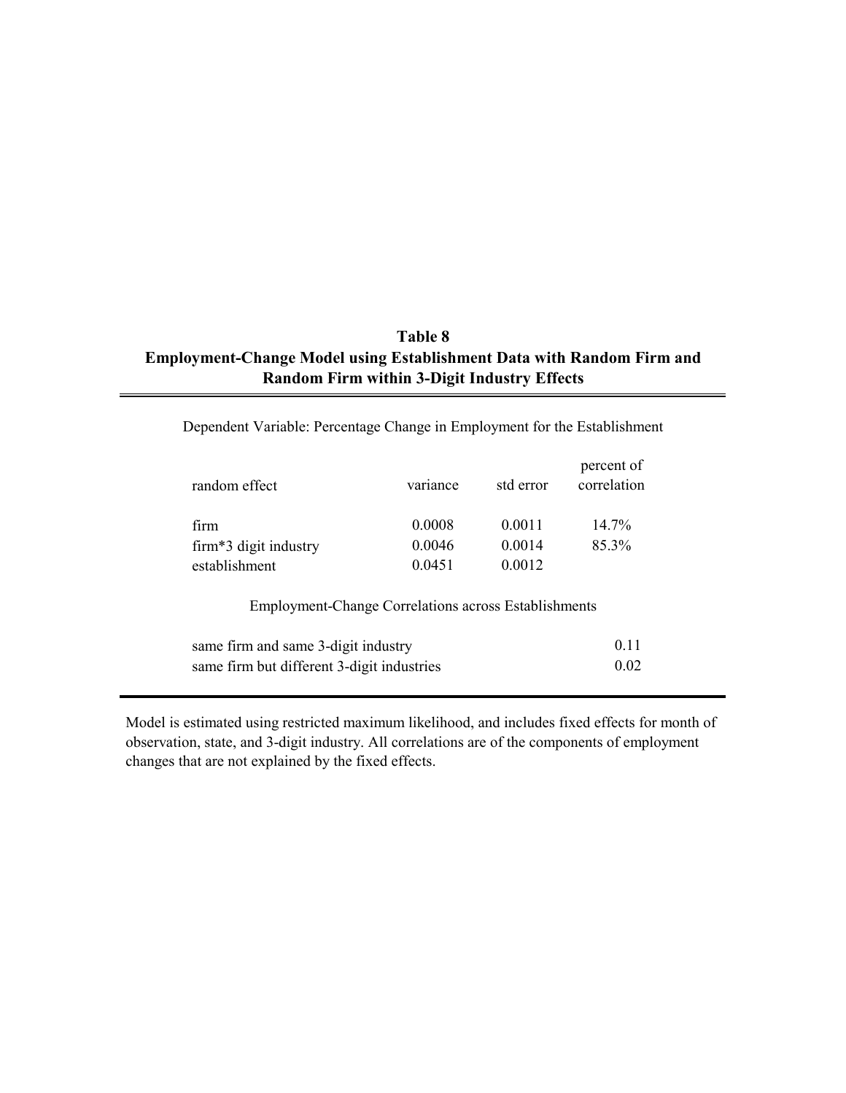## **Table 8 Employment-Change Model using Establishment Data with Random Firm and Random Firm within 3-Digit Industry Effects**

| random effect                                               | variance | std error | percent of<br>correlation |
|-------------------------------------------------------------|----------|-----------|---------------------------|
| firm                                                        | 0.0008   | 0 0 0 1 1 | $14.7\%$                  |
| firm*3 digit industry                                       | 0.0046   | 0 0 0 1 4 | 85.3%                     |
| establishment                                               | 0.0451   | 0.0012    |                           |
| <b>Employment-Change Correlations across Establishments</b> |          |           |                           |
| same firm and same 3-digit industry                         |          |           | 011                       |
| same firm but different 3-digit industries                  |          |           |                           |

Dependent Variable: Percentage Change in Employment for the Establishment

Model is estimated using restricted maximum likelihood, and includes fixed effects for month of observation, state, and 3-digit industry. All correlations are of the components of employment changes that are not explained by the fixed effects.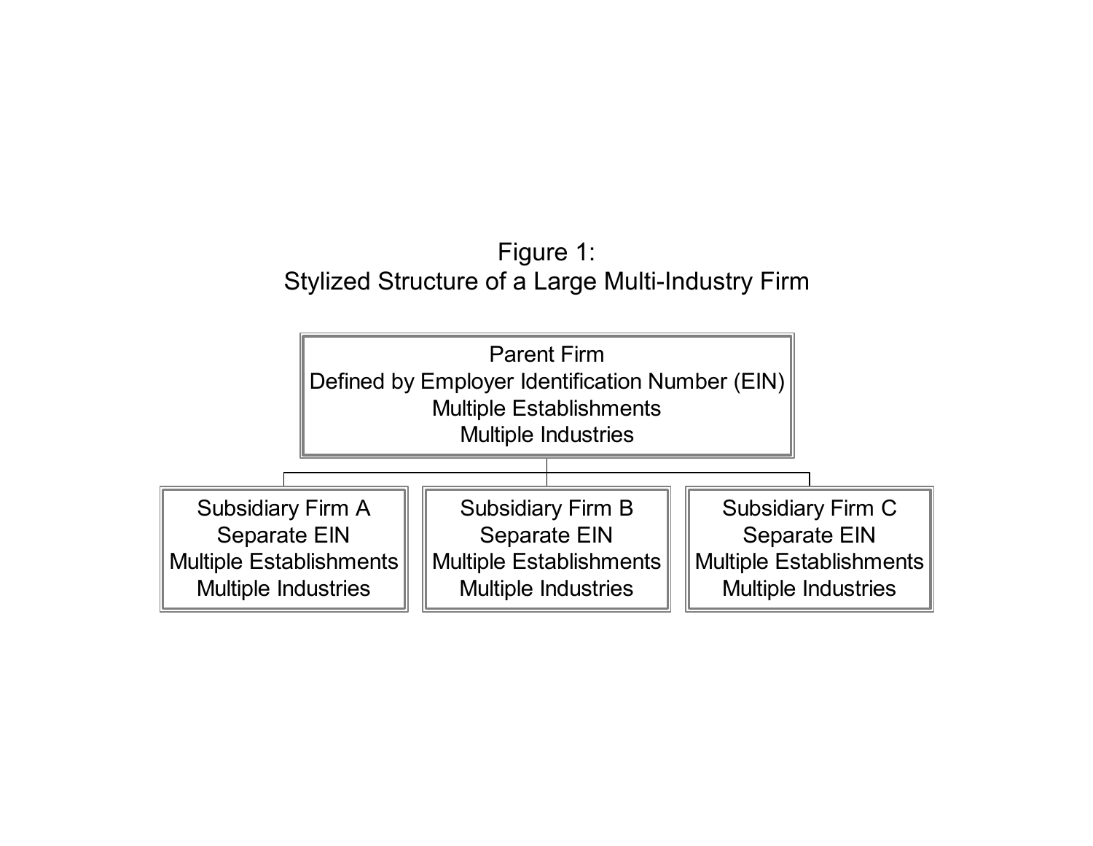# Figure 1: Stylized Structure of a Large Multi-Industry Firm

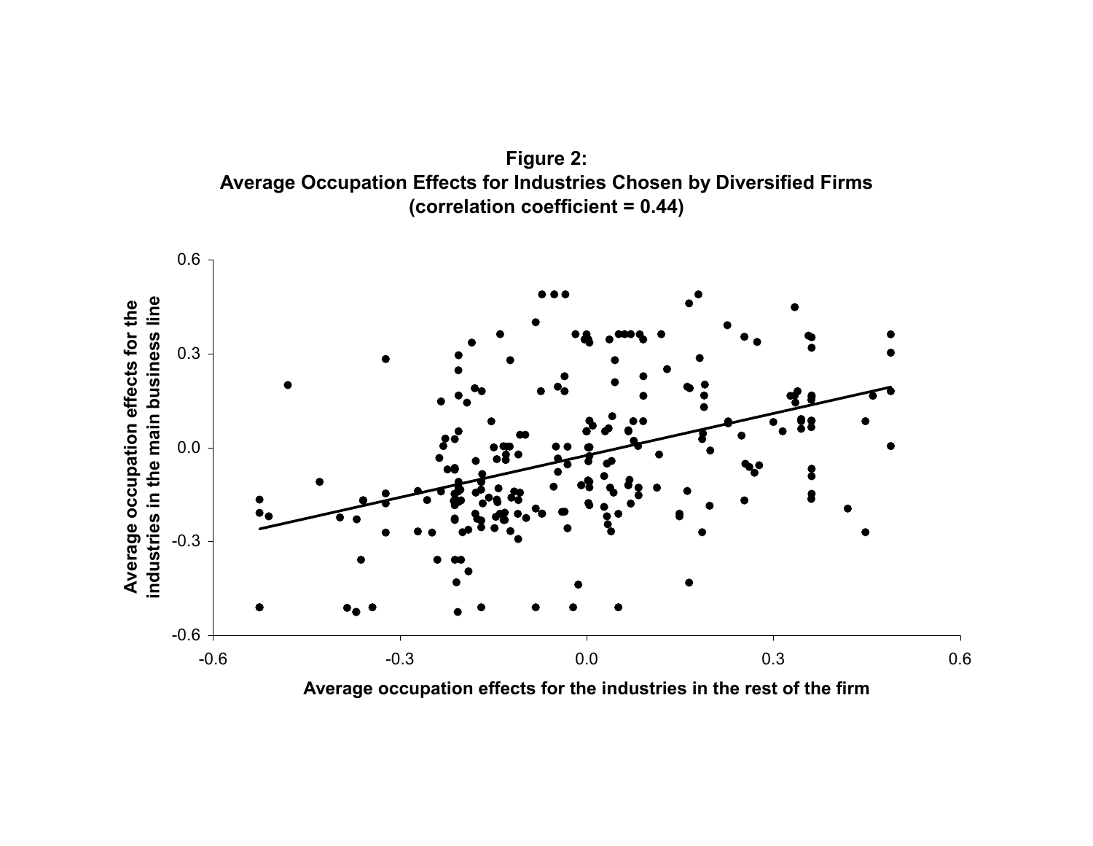



**Average occupation effects for the industries in the rest of the firm**